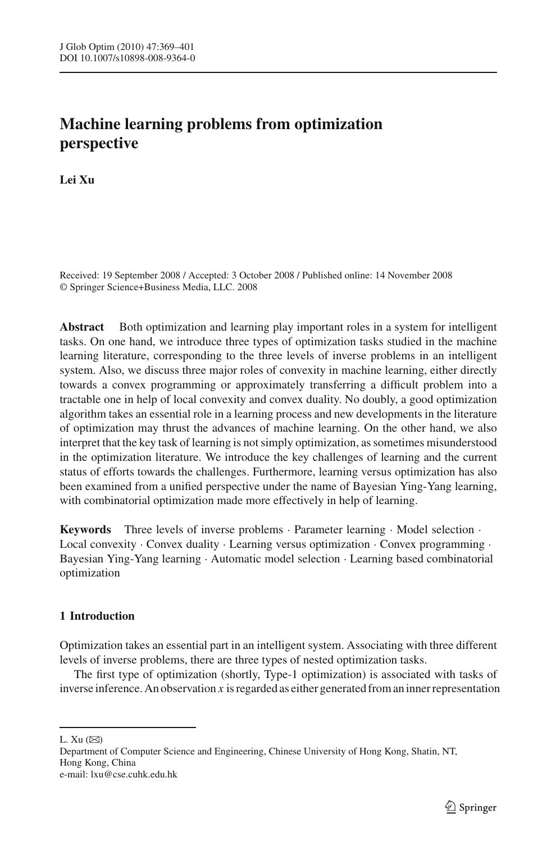# **Machine learning problems from optimization perspective**

**Lei Xu**

Received: 19 September 2008 / Accepted: 3 October 2008 / Published online: 14 November 2008 © Springer Science+Business Media, LLC. 2008

**Abstract** Both optimization and learning play important roles in a system for intelligent tasks. On one hand, we introduce three types of optimization tasks studied in the machine learning literature, corresponding to the three levels of inverse problems in an intelligent system. Also, we discuss three major roles of convexity in machine learning, either directly towards a convex programming or approximately transferring a difficult problem into a tractable one in help of local convexity and convex duality. No doubly, a good optimization algorithm takes an essential role in a learning process and new developments in the literature of optimization may thrust the advances of machine learning. On the other hand, we also interpret that the key task of learning is not simply optimization, as sometimes misunderstood in the optimization literature. We introduce the key challenges of learning and the current status of efforts towards the challenges. Furthermore, learning versus optimization has also been examined from a unified perspective under the name of Bayesian Ying-Yang learning, with combinatorial optimization made more effectively in help of learning.

**Keywords** Three levels of inverse problems · Parameter learning · Model selection · Local convexity · Convex duality · Learning versus optimization · Convex programming · Bayesian Ying-Yang learning · Automatic model selection · Learning based combinatorial optimization

# <span id="page-0-0"></span>**1 Introduction**

Optimization takes an essential part in an intelligent system. Associating with three different levels of inverse problems, there are three types of nested optimization tasks.

The first type of optimization (shortly, Type-1 optimization) is associated with tasks of inverse inference. An observation  $x$  is regarded as either generated from an inner representation

L. Xu  $(\boxtimes)$ 

Department of Computer Science and Engineering, Chinese University of Hong Kong, Shatin, NT, Hong Kong, China

e-mail: lxu@cse.cuhk.edu.hk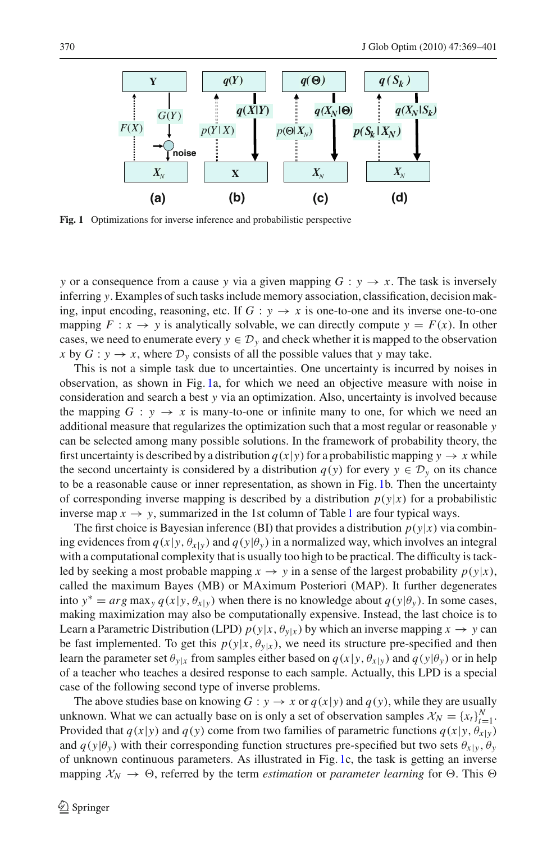

<span id="page-1-0"></span>**Fig. 1** Optimizations for inverse inference and probabilistic perspective

*y* or a consequence from a cause *y* via a given mapping  $G: y \rightarrow x$ . The task is inversely inferring *y*. Examples of such tasks include memory association, classification, decision making, input encoding, reasoning, etc. If  $G : y \rightarrow x$  is one-to-one and its inverse one-to-one mapping  $F: x \to y$  is analytically solvable, we can directly compute  $y = F(x)$ . In other cases, we need to enumerate every  $y \in \mathcal{D}_y$  and check whether it is mapped to the observation *x* by  $G: y \rightarrow x$ , where  $\mathcal{D}_y$  consists of all the possible values that *y* may take.

This is not a simple task due to uncertainties. One uncertainty is incurred by noises in observation, as shown in Fig. [1a](#page-1-0), for which we need an objective measure with noise in consideration and search a best *y* via an optimization. Also, uncertainty is involved because the mapping  $G: y \rightarrow x$  is many-to-one or infinite many to one, for which we need an additional measure that regularizes the optimization such that a most regular or reasonable *y* can be selected among many possible solutions. In the framework of probability theory, the first uncertainty is described by a distribution  $q(x|y)$  for a probabilistic mapping  $y \rightarrow x$  while the second uncertainty is considered by a distribution  $q(y)$  for every  $y \in \mathcal{D}_y$  on its chance to be a reasonable cause or inner representation, as shown in Fig. [1b](#page-1-0). Then the uncertainty of corresponding inverse mapping is described by a distribution  $p(y|x)$  for a probabilistic inverse map  $x \to y$ , summarized in the [1](#page-2-0)st column of Table 1 are four typical ways.

The first choice is Bayesian inference (BI) that provides a distribution  $p(y|x)$  via combining evidences from  $q(x|y, \theta_{x|y})$  and  $q(y|\theta_y)$  in a normalized way, which involves an integral with a computational complexity that is usually too high to be practical. The difficulty is tackled by seeking a most probable mapping  $x \to y$  in a sense of the largest probability  $p(y|x)$ , called the maximum Bayes (MB) or MAximum Posteriori (MAP). It further degenerates into  $y^* = arg \max_{y} q(x|y, \theta_{x|y})$  when there is no knowledge about  $q(y|\theta_y)$ . In some cases, making maximization may also be computationally expensive. Instead, the last choice is to Learn a Parametric Distribution (LPD)  $p(y|x, \theta_{y|x})$  by which an inverse mapping  $x \to y$  can be fast implemented. To get this  $p(y|x, \theta_{y|x})$ , we need its structure pre-specified and then learn the parameter set  $\theta_{v|x}$  from samples either based on  $q(x|y, \theta_{x|v})$  and  $q(y|\theta_v)$  or in help of a teacher who teaches a desired response to each sample. Actually, this LPD is a special case of the following second type of inverse problems.

The above studies base on knowing  $G : y \to x$  or  $q(x|y)$  and  $q(y)$ , while they are usually unknown. What we can actually base on is only a set of observation samples  $X_N = \{x_t\}_{t=1}^N$ . Provided that  $q(x|y)$  and  $q(y)$  come from two families of parametric functions  $q(x|y, \theta_{x|y})$ and  $q(y|\theta_y)$  with their corresponding function structures pre-specified but two sets  $\theta_{x|y}$ ,  $\theta_y$ of unknown continuous parameters. As illustrated in Fig. [1c](#page-1-0), the task is getting an inverse mapping  $\mathcal{X}_N \to \Theta$ , referred by the term *estimation* or *parameter learning* for  $\Theta$ . This  $\Theta$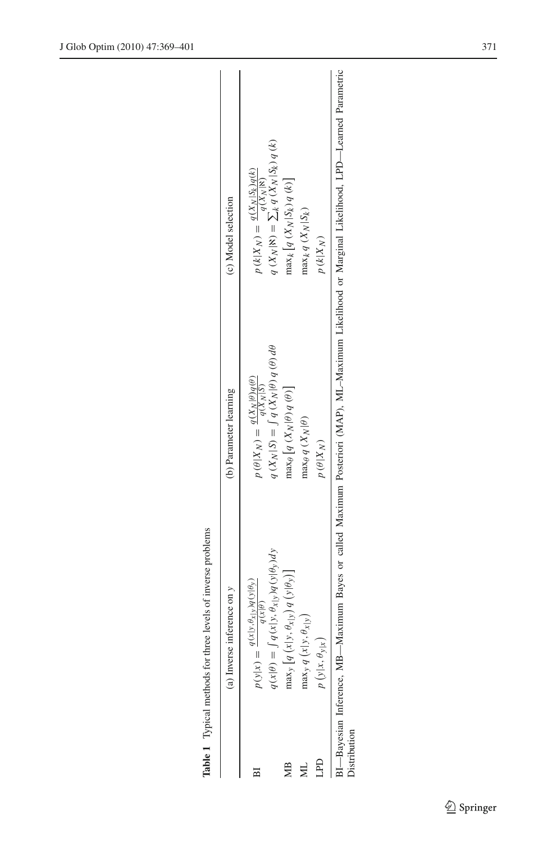|              | Table 1 Typical methods for three levels of inverse problems                                                                                        |                                                                                                                                 |                                                                                                                                                  |
|--------------|-----------------------------------------------------------------------------------------------------------------------------------------------------|---------------------------------------------------------------------------------------------------------------------------------|--------------------------------------------------------------------------------------------------------------------------------------------------|
|              | (a) Inverse inference on $y$                                                                                                                        | (b) Parameter learning                                                                                                          | (c) Model selection                                                                                                                              |
| ⊡            | $q(x \theta) = \int q(x y, \theta_{x y}) q(y \theta_y) dy$<br>$p(y x) = \frac{q(x y, \theta_{x y})q(y \theta_{y})}{\sqrt{x}}$<br>$\theta(x \theta)$ | $\theta P(\theta) b(\theta X) b$ $\int d(X \times \theta) d\theta$<br>$p(\theta X_N) = \frac{q(X_N \theta)q(\theta)}{q(X_N S)}$ | $q(X_N \mathbf{X}) = \sum_k q(X_N S_k) q(k)$<br>$p(k X_N) = \frac{q(X_N S_k)q(k)}{q(X_N N)}$                                                     |
| MВ           | $\max_{y} [q(x y, \theta_{x y}) q(y \theta_{y})]$                                                                                                   | $\max_{\theta}  q(X_N \theta) q(\theta) $                                                                                       | $\max_k \left[ q \left( X_N   S_k \right) q \left( k \right) \right]$                                                                            |
| $\mathbb{R}$ | $\max_{y} q(x y, \theta_{x y})$                                                                                                                     | $\max_{\theta} q\left(X_N \theta\right)$                                                                                        | $\max_k q(X_N S_k)$                                                                                                                              |
| B            | $p\left(\mathbf{y} \mathbf{x},\boldsymbol{\theta}_{\mathbf{y} \mathbf{x}}\right)$                                                                   | $p(\theta X_N)$                                                                                                                 | $p(k X_N)$                                                                                                                                       |
| Distribution |                                                                                                                                                     |                                                                                                                                 | BI-Bayesian Inference, MB-Maximum Bayes or called Maximum Posteriori (MAP), ML-Maximum Likelihood or Marginal Likelihood, LPD-Learned Parametric |

<span id="page-2-0"></span>

| i<br>í<br>í<br>ı<br>í<br>í<br>í                                     |
|---------------------------------------------------------------------|
| ı<br>í<br>$\frac{1}{2}$<br>ı<br>l<br>ı<br>I<br>١                    |
| I<br>l<br>l<br>l                                                    |
| þ<br>í<br>ı<br>l                                                    |
| ١<br>ı<br>l<br>$\overline{\phantom{a}}$<br>í<br>ı<br>í              |
| ֧֧ׅ֚֚֚֚֚֚֚֚֚֚֚֚֚֚֚֚֚֚֚֚֚֚֚֚֚֚֚֝֡֡֡֡֡֡֡֬֜֓֡<br>í<br>ı<br>í<br>٦<br>l |
| I<br>l<br>l                                                         |

 $\underline{\textcircled{\tiny 2}}$  Springer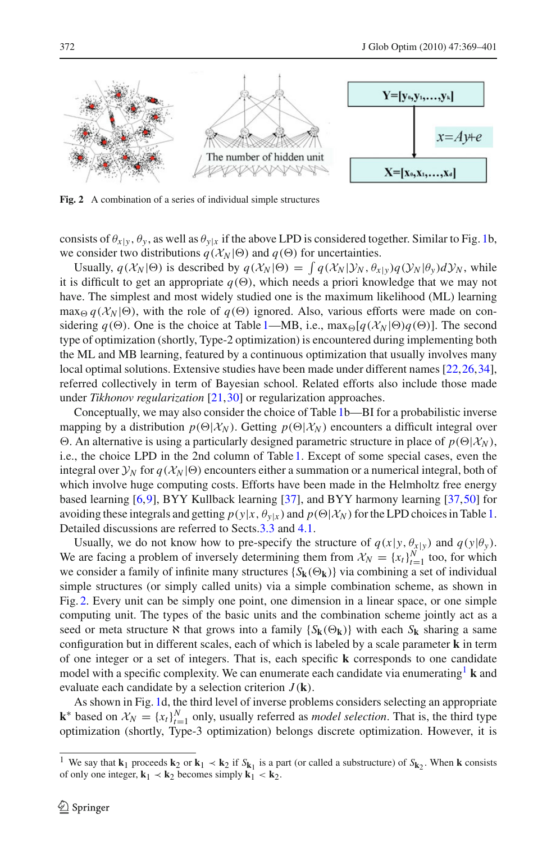

<span id="page-3-0"></span>**Fig. 2** A combination of a series of individual simple structures

consists of  $\theta_{x|y}$ ,  $\theta_y$ , as well as  $\theta_{y|x}$  if the above LPD is considered together. Similar to Fig. [1b](#page-1-0), we consider two distributions  $q(\mathcal{X}_N | \Theta)$  and  $q(\Theta)$  for uncertainties.

Usually,  $q(\mathcal{X}_N | \Theta)$  is described by  $q(\mathcal{X}_N | \Theta) = \int q(\mathcal{X}_N | \mathcal{Y}_N, \theta_{x|y}) q(\mathcal{Y}_N | \theta_y) d\mathcal{Y}_N$ , while it is difficult to get an appropriate  $q(\Theta)$ , which needs a priori knowledge that we may not have. The simplest and most widely studied one is the maximum likelihood (ML) learning  $\max_{\Theta} q(\mathcal{X}_N|\Theta)$ , with the role of  $q(\Theta)$  ignored. Also, various efforts were made on considering  $q(\Theta)$ . One is the choice at Table [1—](#page-2-0)MB, i.e., max $\Theta[q(\mathcal{X}_N|\Theta)q(\Theta)]$ . The second type of optimization (shortly, Type-2 optimization) is encountered during implementing both the ML and MB learning, featured by a continuous optimization that usually involves many local optimal solutions. Extensive studies have been made under different names [\[22](#page-30-0)[,26](#page-30-1)[,34\]](#page-31-0), referred collectively in term of Bayesian school. Related efforts also include those made under *Tikhonov regularization* [\[21,](#page-30-2)[30](#page-31-1)] or regularization approaches.

Conceptually, we may also consider the choice of Table [1b](#page-2-0)—BI for a probabilistic inverse mapping by a distribution  $p(\Theta|\mathcal{X}_N)$ . Getting  $p(\Theta|\mathcal{X}_N)$  encounters a difficult integral over  $\Theta$ . An alternative is using a particularly designed parametric structure in place of  $p(\Theta|\mathcal{X}_N)$ , i.e., the choice LPD in the 2nd column of Table [1.](#page-2-0) Except of some special cases, even the integral over  $\mathcal{Y}_N$  for  $q(\mathcal{X}_N|\Theta)$  encounters either a summation or a numerical integral, both of which involve huge computing costs. Efforts have been made in the Helmholtz free energy based learning [\[6,](#page-30-3)[9\]](#page-30-4), BYY Kullback learning [\[37\]](#page-31-2), and BYY harmony learning [\[37,](#page-31-2)[50](#page-31-3)] for avoiding these integrals and getting  $p(y|x, \theta_{y|x})$  and  $p(\Theta|\mathcal{X}_N)$  for the LPD choices in Table [1.](#page-2-0) Detailed discussions are referred to Sects[.3.3](#page-19-0) and [4.1.](#page-23-0)

Usually, we do not know how to pre-specify the structure of  $q(x|y, \theta_{x|y})$  and  $q(y|\theta_y)$ . We are facing a problem of inversely determining them from  $\mathcal{X}_N = \{x_t\}_{t=1}^N$  too, for which we consider a family of infinite many structures  ${S_k(\Theta_k)}$  via combining a set of individual simple structures (or simply called units) via a simple combination scheme, as shown in Fig. [2.](#page-3-0) Every unit can be simply one point, one dimension in a linear space, or one simple computing unit. The types of the basic units and the combination scheme jointly act as a seed or meta structure  $\aleph$  that grows into a family  $\{S_k(\Theta_k)\}\$  with each  $S_k$  sharing a same configuration but in different scales, each of which is labeled by a scale parameter **k** in term of one integer or a set of integers. That is, each specific **k** corresponds to one candidate model with a specific complexity. We can enumerate each candidate via enumerating<sup>1</sup> **k** and evaluate each candidate by a selection criterion *J* (**k**).

As shown in Fig. [1d](#page-1-0), the third level of inverse problems considers selecting an appropriate **k**<sup>∗</sup> based on  $X_N = \{x_t\}_{t=1}^N$  only, usually referred as *model selection*. That is, the third type optimization (shortly, Type-3 optimization) belongs discrete optimization. However, it is

<span id="page-3-1"></span><sup>&</sup>lt;sup>1</sup> We say that **k**<sub>1</sub> proceeds **k**<sub>2</sub> or **k**<sub>1</sub>  $\prec$  **k**<sub>2</sub> if *S*<sub>**k**<sub>1</sub></sub> is a part (or called a substructure) of *S*<sub>**k**<sub>2</sub>. When **k** consists</sub> of only one integer,  $\mathbf{k}_1 \prec \mathbf{k}_2$  becomes simply  $\mathbf{k}_1 \prec \mathbf{k}_2$ .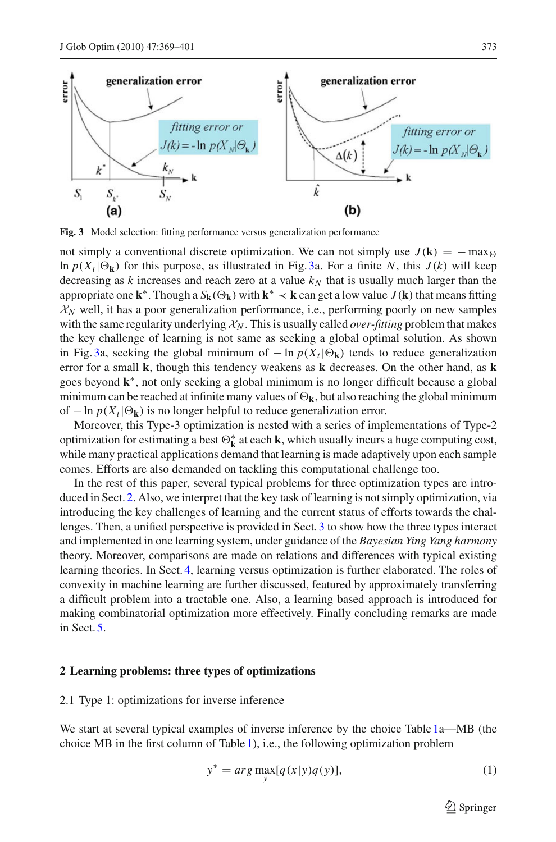

<span id="page-4-0"></span>**Fig. 3** Model selection: fitting performance versus generalization performance

not simply a conventional discrete optimization. We can not simply use  $J(\mathbf{k}) = -\max_{\Theta}$ ln  $p(X_t | \Theta_k)$  for this purpose, as illustrated in Fig. [3a](#page-4-0). For a finite *N*, this  $J(k)$  will keep decreasing as  $k$  increases and reach zero at a value  $k_N$  that is usually much larger than the appropriate one **k**<sup>∗</sup>. Though a  $S_k(\Theta_k)$  with **k**<sup>∗</sup>  $\prec$  **k** can get a low value *J* (**k**) that means fitting  $X_N$  well, it has a poor generalization performance, i.e., performing poorly on new samples with the same regularity underlying  $\mathcal{X}_N$ . This is usually called *over-fitting* problem that makes the key challenge of learning is not same as seeking a global optimal solution. As shown in Fig. [3a](#page-4-0), seeking the global minimum of  $-\ln p(X_t|\Theta_k)$  tends to reduce generalization error for a small **k**, though this tendency weakens as **k** decreases. On the other hand, as **k** goes beyond **k**∗, not only seeking a global minimum is no longer difficult because a global minimum can be reached at infinite many values of  $\Theta_{\mathbf{k}}$ , but also reaching the global minimum of  $-\ln p(X_t|\Theta_k)$  is no longer helpful to reduce generalization error.

Moreover, this Type-3 optimization is nested with a series of implementations of Type-2 optimization for estimating a best  $\Theta_k^*$  at each **k**, which usually incurs a huge computing cost, while many practical applications demand that learning is made adaptively upon each sample comes. Efforts are also demanded on tackling this computational challenge too.

In the rest of this paper, several typical problems for three optimization types are introduced in Sect. [2.](#page-4-1) Also, we interpret that the key task of learning is not simply optimization, via introducing the key challenges of learning and the current status of efforts towards the challenges. Then, a unified perspective is provided in Sect. [3](#page-10-0) to show how the three types interact and implemented in one learning system, under guidance of the *Bayesian Ying Yang harmony* theory. Moreover, comparisons are made on relations and differences with typical existing learning theories. In Sect. [4,](#page-23-1) learning versus optimization is further elaborated. The roles of convexity in machine learning are further discussed, featured by approximately transferring a difficult problem into a tractable one. Also, a learning based approach is introduced for making combinatorial optimization more effectively. Finally concluding remarks are made in Sect. [5.](#page-29-0)

### <span id="page-4-1"></span>**2 Learning problems: three types of optimizations**

# 2.1 Type 1: optimizations for inverse inference

<span id="page-4-2"></span>We start at several typical examples of inverse inference by the choice Table [1a](#page-2-0)—MB (the choice MB in the first column of Table [1\)](#page-2-0), i.e., the following optimization problem

$$
y^* = arg \max_{y} [q(x|y)q(y)], \qquad (1)
$$

 $\circled{2}$  Springer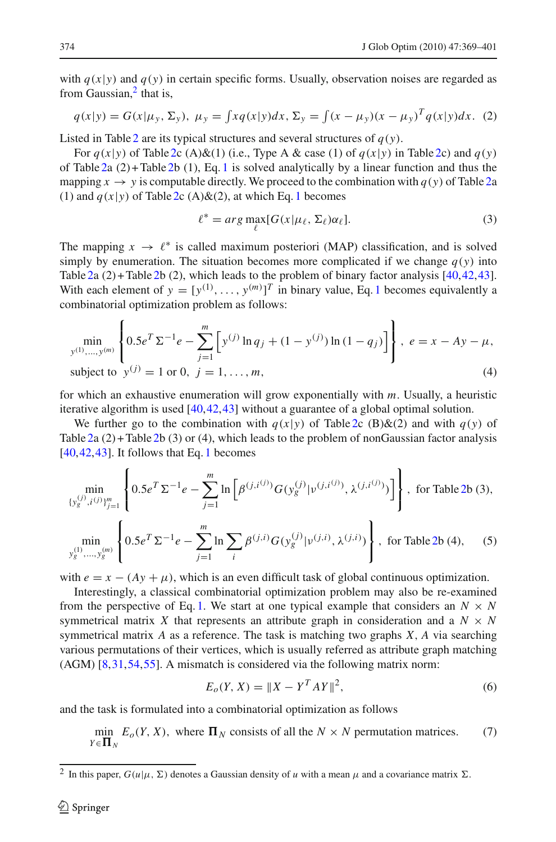with  $q(x|y)$  and  $q(y)$  in certain specific forms. Usually, observation noises are regarded as from Gaussian, $<sup>2</sup>$  that is,</sup>

$$
q(x|y) = G(x|\mu_y, \Sigma_y), \ \mu_y = \int xq(x|y)dx, \ \Sigma_y = \int (x - \mu_y)(x - \mu_y)^T q(x|y)dx. \tag{2}
$$

Listed in Table [2](#page-6-0) are its typical structures and several structures of  $q(y)$ .

For  $q(x|y)$  of Table [2c](#page-6-0) (A)&(1) (i.e., Type A & case (1) of  $q(x|y)$  in Table 2c) and  $q(y)$ of Table [2a](#page-6-0)  $(2)$  + Table [2b](#page-6-0)  $(1)$  $(1)$  $(1)$ , Eq. 1 is solved analytically by a linear function and thus the mapping  $x \to y$  is computable directly. We proceed to the combination with  $q(y)$  of Table [2a](#page-6-0) ([1](#page-4-2)) and  $q(x|y)$  of Table [2c](#page-6-0) (A)&(2), at which Eq. 1 becomes

$$
\ell^* = \arg \max_{\ell} [G(x | \mu_{\ell}, \Sigma_{\ell}) \alpha_{\ell}]. \tag{3}
$$

The mapping  $x \to \ell^*$  is called maximum posteriori (MAP) classification, and is solved simply by enumeration. The situation becomes more complicated if we change  $q(y)$  into Table  $2a(2)$  $2a(2)$  + Table  $2b(2)$  $2b(2)$ , which leads to the problem of binary factor analysis  $[40, 42, 43]$  $[40, 42, 43]$ . With each element of  $y = [y^{(1)}, \ldots, y^{(m)}]^T$  $y = [y^{(1)}, \ldots, y^{(m)}]^T$  $y = [y^{(1)}, \ldots, y^{(m)}]^T$  in binary value, Eq. 1 becomes equivalently a combinatorial optimization problem as follows:

$$
\min_{y^{(1)},...,y^{(m)}} \left\{ 0.5e^T \Sigma^{-1} e - \sum_{j=1}^m \left[ y^{(j)} \ln q_j + (1 - y^{(j)}) \ln (1 - q_j) \right] \right\}, \ e = x - Ay - \mu,
$$
\n
$$
\text{subject to } y^{(j)} = 1 \text{ or } 0, \ j = 1, ..., m,
$$
\n
$$
(4)
$$

for which an exhaustive enumeration will grow exponentially with *m*. Usually, a heuristic iterative algorithm is used [\[40](#page-31-4)[,42](#page-31-5)[,43\]](#page-31-6) without a guarantee of a global optimal solution.

We further go to the combination with  $q(x|y)$  of Table [2c](#page-6-0) (B)&(2) and with  $q(y)$  of Table [2a](#page-6-0)  $(2)$  + Table [2b](#page-6-0)  $(3)$  or  $(4)$ , which leads to the problem of nonGaussian factor analysis  $[40, 42, 43]$  $[40, 42, 43]$ . It follows that Eq. [1](#page-4-2) becomes

$$
\min_{\{y_g^{(j)}, i^{(j)}\}_{j=1}^m} \left\{ 0.5 e^T \Sigma^{-1} e - \sum_{j=1}^m \ln \left[ \beta^{(j, i^{(j)})} G(y_g^{(j)} | v^{(j, i^{(j)})}, \lambda^{(j, i^{(j)})}) \right] \right\}, \text{ for Table 2b (3),}
$$
  

$$
\min_{y_g^{(1)}, \dots, y_g^{(m)}} \left\{ 0.5 e^T \Sigma^{-1} e - \sum_{j=1}^m \ln \sum_i \beta^{(j, i)} G(y_g^{(j)} | v^{(j, i)}, \lambda^{(j, i)}) \right\}, \text{ for Table 2b (4),}
$$
 (5)

with  $e = x - (Ay + \mu)$ , which is an even difficult task of global continuous optimization.

Interestingly, a classical combinatorial optimization problem may also be re-examined from the perspective of Eq. [1.](#page-4-2) We start at one typical example that considers an  $N \times N$ symmetrical matrix *X* that represents an attribute graph in consideration and a  $N \times N$ symmetrical matrix *A* as a reference. The task is matching two graphs *X*, *A* via searching various permutations of their vertices, which is usually referred as attribute graph matching (AGM) [\[8](#page-30-5),[31](#page-31-7)[,54,](#page-31-8)[55](#page-31-9)]. A mismatch is considered via the following matrix norm:

$$
E_o(Y, X) = \|X - Y^T A Y\|^2, \tag{6}
$$

<span id="page-5-1"></span>and the task is formulated into a combinatorial optimization as follows

 $\min_{\mathbf{F}} E_o(Y, X)$ , where  $\mathbf{\Pi}_N$  consists of all the  $N \times N$  permutation matrices. (7) *Y*∈ $\prod$ <sup>*N*</sup>

<span id="page-5-0"></span><sup>&</sup>lt;sup>2</sup> In this paper,  $G(u|\mu, \Sigma)$  denotes a Gaussian density of *u* with a mean  $\mu$  and a covariance matrix  $\Sigma$ .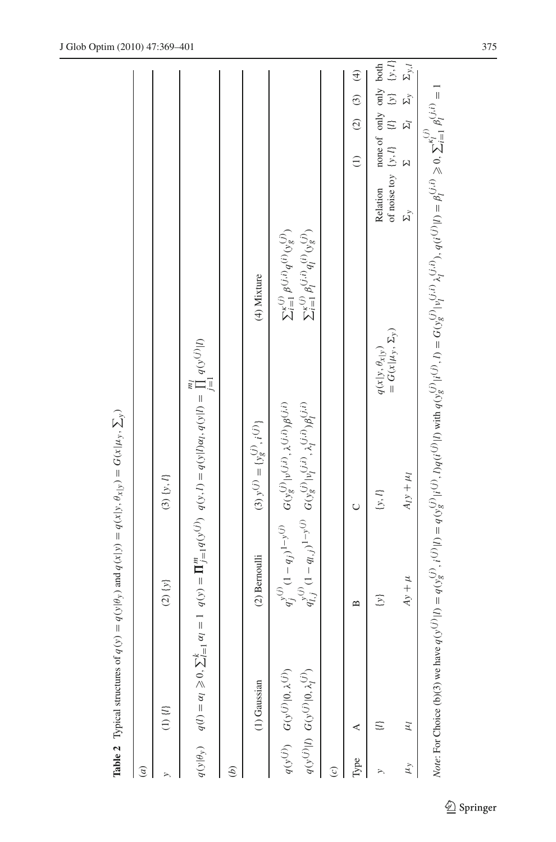<span id="page-6-0"></span>

|                     | <b>Table 2</b> Typical structures of $q(y) = q(y \theta_y)$ and $q(x y, \theta_x y) = G(x \mu_y, \sum_y)$                                                                                                                                                  |               |                                                                                                                                                                                                               |                                                                                                                                  |                                                                                       |                 |            |                           |
|---------------------|------------------------------------------------------------------------------------------------------------------------------------------------------------------------------------------------------------------------------------------------------------|---------------|---------------------------------------------------------------------------------------------------------------------------------------------------------------------------------------------------------------|----------------------------------------------------------------------------------------------------------------------------------|---------------------------------------------------------------------------------------|-----------------|------------|---------------------------|
| $\widehat{a}$       |                                                                                                                                                                                                                                                            |               |                                                                                                                                                                                                               |                                                                                                                                  |                                                                                       |                 |            |                           |
|                     | $(1)$ $(l)$                                                                                                                                                                                                                                                | $(2)$ $\{y\}$ | $(3) \{y, l\}$                                                                                                                                                                                                |                                                                                                                                  |                                                                                       |                 |            |                           |
|                     | $q(y \theta_y)$ $q(l) = \alpha_l \ge 0$ , $\sum_{i=1}^{k} \alpha_l = 1$ $q(y) = \mathbf{\Pi}_{j=1}^{m} q(y^{(j)})$ $q(y, l) = q(y l)\alpha_l$ , $q(y l) = \prod_{i=1}^{m_l} q(y^{(j)} l)$                                                                  |               |                                                                                                                                                                                                               |                                                                                                                                  |                                                                                       |                 |            |                           |
| G)                  |                                                                                                                                                                                                                                                            |               |                                                                                                                                                                                                               |                                                                                                                                  |                                                                                       |                 |            |                           |
|                     | (1) Gaussian                                                                                                                                                                                                                                               | (2) Bernoulli | (3) $y^{(j)} = {y_g^{(j)}, i^{(j)}}$                                                                                                                                                                          | (4) Mixture                                                                                                                      |                                                                                       |                 |            |                           |
|                     | $q(y^{(j)})$ $G(y^{(j)} 0, \lambda^{(j)})$<br>$q(y^{(j)} l) G(y^{(j)} 0, \lambda_l^{(j)})$                                                                                                                                                                 |               | $q_j^{y^{(j)}} (1 - q_j)^{1 - y^{(j)}}$ $G(y_g^{(j)}   v^{(j, i)}, \lambda^{(j, i)} ) \beta^{(j, i)}$<br>$q_{i,j}^{y^{(j)}}(1-q_{l,j})^{1-y^{(j)}} G(y_g^{(j)} v_l^{(j,i)}, \lambda_l^{(j,i)}\beta_l^{(j,i)}$ | $\sum_{i=1}^{\kappa^{(j)}} \beta_l^{(j,i)} q_l^{(i)}(y_g^{(j)})$<br>$\sum_{i=1}^{\kappa^{(j)}} \beta^{(j,i)} q^{(i)}(y_g^{(j)})$ |                                                                                       |                 |            |                           |
| $\widehat{c}$       |                                                                                                                                                                                                                                                            |               |                                                                                                                                                                                                               |                                                                                                                                  |                                                                                       |                 |            |                           |
| <b>Type</b>         | ⋖                                                                                                                                                                                                                                                          | ≏             | $\cup$                                                                                                                                                                                                        |                                                                                                                                  |                                                                                       | (1) (2) (3) (4) |            |                           |
|                     | Ξ                                                                                                                                                                                                                                                          | $\widehat{z}$ | $\{y,l\}$                                                                                                                                                                                                     | $= G(x \mu_y,\,\Sigma_y)$<br>$q(x y, \theta_{x y})$                                                                              | Relation none of only only both<br>of noise toy $\{y, l\}$ $\{l\}$ $\{y\}$ $\{y, l\}$ |                 |            |                           |
| $\mu_{\mathcal{Y}}$ | $\mu$                                                                                                                                                                                                                                                      | $Ay + \mu$    | $Ay + \mu_l$                                                                                                                                                                                                  |                                                                                                                                  | $\Sigma_{y}$                                                                          |                 | $\Sigma_l$ | $\Sigma_y$ $\Sigma_{y,l}$ |
|                     | Note: For Choice (b)(3) we have $q(y^{(j)} t) = q(y_g^{(j)}, i^{(j)} t) = q(y_g^{(j)} i^{(j)}, l)q(i^{(j)} t)$ with $q(y_g^{(j)} i^{(j)}, t) = G(y_g^{(j)} v_j^{(j,i)}), q(i^{(j)} t) = \beta_i^{(j,i)} \ge 0, \sum_{i=1}^{k_i^{(j)}} \beta_i^{(j,i)} = 1$ |               |                                                                                                                                                                                                               |                                                                                                                                  |                                                                                       |                 |            |                           |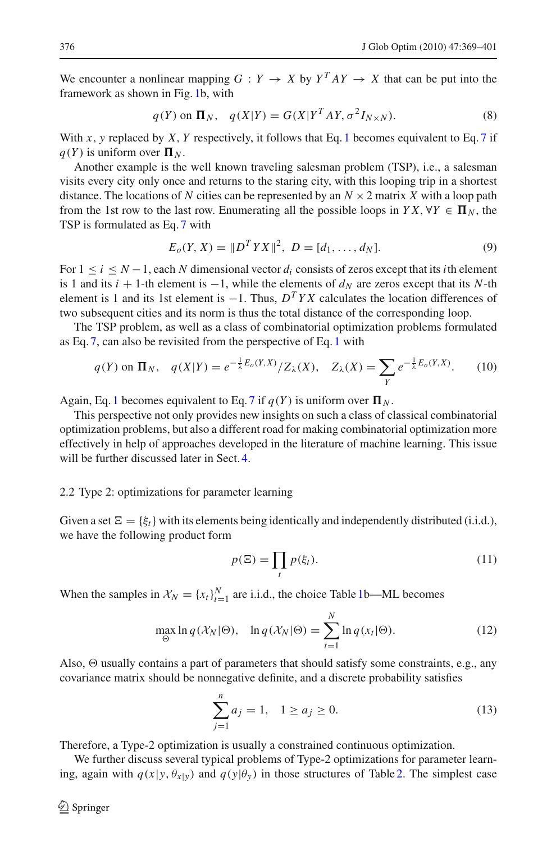We encounter a nonlinear mapping  $G: Y \to X$  by  $Y^T A Y \to X$  that can be put into the framework as shown in Fig. [1b](#page-1-0), with

$$
q(Y) \text{ on } \Pi_N, \quad q(X|Y) = G(X|Y^TAY, \sigma^2 I_{N \times N}).
$$
\n
$$
(8)
$$

<span id="page-7-3"></span>With  $x$ ,  $y$  replaced by  $X$ ,  $Y$  respectively, it follows that Eq. [1](#page-4-2) becomes equivalent to Eq. [7](#page-5-1) if  $q(Y)$  is uniform over  $\Pi_N$ .

Another example is the well known traveling salesman problem (TSP), i.e., a salesman visits every city only once and returns to the staring city, with this looping trip in a shortest distance. The locations of *N* cities can be represented by an  $N \times 2$  matrix *X* with a loop path from the 1st row to the last row. Enumerating all the possible loops in *YX*,  $\forall Y \in \Pi_N$ , the TSP is formulated as Eq. [7](#page-5-1) with

$$
E_o(Y, X) = ||D^T Y X||^2, \ D = [d_1, \dots, d_N].
$$
 (9)

For  $1 \le i \le N-1$ , each N dimensional vector  $d_i$  consists of zeros except that its *i*th element is 1 and its  $i + 1$ -th element is  $-1$ , while the elements of  $d<sub>N</sub>$  are zeros except that its *N*-th element is 1 and its 1st element is  $-1$ . Thus,  $D^T Y X$  calculates the location differences of two subsequent cities and its norm is thus the total distance of the corresponding loop.

The TSP problem, as well as a class of combinatorial optimization problems formulated as Eq. [7,](#page-5-1) can also be revisited from the perspective of Eq. [1](#page-4-2) with

$$
q(Y) \text{ on } \Pi_N, \quad q(X|Y) = e^{-\frac{1}{\lambda}E_o(Y,X)}/Z_{\lambda}(X), \quad Z_{\lambda}(X) = \sum_{Y} e^{-\frac{1}{\lambda}E_o(Y,X)}. \tag{10}
$$

<span id="page-7-4"></span>Again, Eq. [1](#page-4-2) becomes equivalent to Eq. [7](#page-5-1) if  $q(Y)$  is uniform over  $\Pi_N$ .

This perspective not only provides new insights on such a class of classical combinatorial optimization problems, but also a different road for making combinatorial optimization more effectively in help of approaches developed in the literature of machine learning. This issue will be further discussed later in Sect. [4.](#page-23-1)

# 2.2 Type 2: optimizations for parameter learning

Given a set  $\Xi = \{\xi_t\}$  with its elements being identically and independently distributed (i.i.d.), we have the following product form

$$
p(\Xi) = \prod_{t} p(\xi_t). \tag{11}
$$

When the samples in  $X_N = \{x_t\}_{t=1}^N$  are i.i.d., the choice Table [1b](#page-2-0)—ML becomes

<span id="page-7-2"></span>
$$
\max_{\Theta} \ln q(\mathcal{X}_N|\Theta), \quad \ln q(\mathcal{X}_N|\Theta) = \sum_{t=1}^N \ln q(x_t|\Theta). \tag{12}
$$

<span id="page-7-0"></span>Also,  $\Theta$  usually contains a part of parameters that should satisfy some constraints, e.g., any covariance matrix should be nonnegative definite, and a discrete probability satisfies

$$
\sum_{j=1}^{n} a_j = 1, \quad 1 \ge a_j \ge 0.
$$
 (13)

<span id="page-7-1"></span>Therefore, a Type-2 optimization is usually a constrained continuous optimization.

We further discuss several typical problems of Type-2 optimizations for parameter learning, again with  $q(x|y, \theta_{x|y})$  and  $q(y|\theta_y)$  in those structures of Table [2.](#page-6-0) The simplest case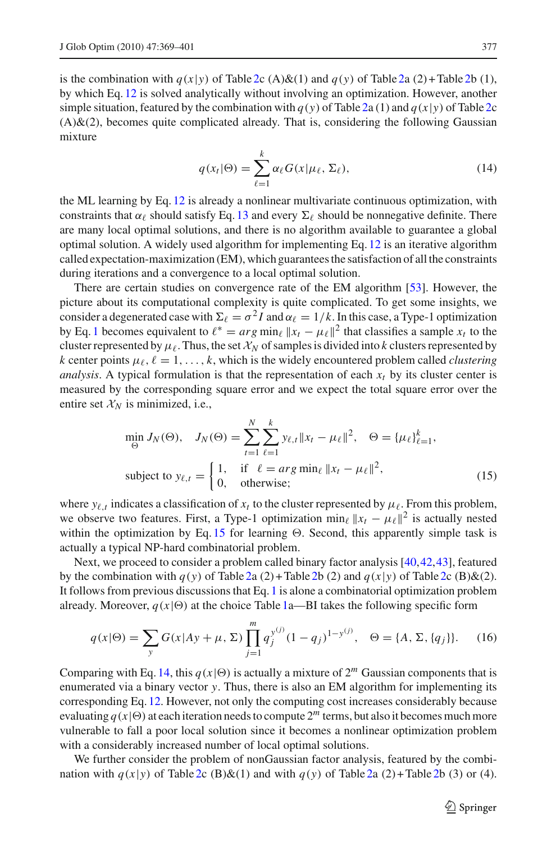is the combination with  $q(x|y)$  of Table [2c](#page-6-0) (A)&(1) and  $q(y)$  of Table [2a](#page-6-0) (2) + Table [2b](#page-6-0) (1), by which Eq. [12](#page-7-0) is solved analytically without involving an optimization. However, another simple situation, featured by the combination with  $q(y)$  of Table [2a](#page-6-0) (1) and  $q(x|y)$  of Table [2c](#page-6-0)  $(A)$ &(2), becomes quite complicated already. That is, considering the following Gaussian mixture

$$
q(x_t|\Theta) = \sum_{\ell=1}^k \alpha_\ell G(x|\mu_\ell, \Sigma_\ell), \qquad (14)
$$

<span id="page-8-1"></span>the ML learning by Eq. [12](#page-7-0) is already a nonlinear multivariate continuous optimization, with constraints that  $\alpha_{\ell}$  should satisfy Eq. [13](#page-7-1) and every  $\Sigma_{\ell}$  should be nonnegative definite. There are many local optimal solutions, and there is no algorithm available to guarantee a global optimal solution. A widely used algorithm for implementing Eq. [12](#page-7-0) is an iterative algorithm called expectation-maximization (EM), which guarantees the satisfaction of all the constraints during iterations and a convergence to a local optimal solution.

There are certain studies on convergence rate of the EM algorithm [\[53](#page-31-10)]. However, the picture about its computational complexity is quite complicated. To get some insights, we consider a degenerated case with  $\Sigma_{\ell} = \sigma^2 I$  and  $\alpha_{\ell} = 1/k$ . In this case, a Type-1 optimization by Eq. [1](#page-4-2) becomes equivalent to  $\ell^* = arg \min_{\ell} ||x_t - \mu_{\ell}||^2$  that classifies a sample  $x_t$  to the cluster represented by  $\mu_{\ell}$ . Thus, the set  $\mathcal{X}_N$  of samples is divided into *k* clusters represented by *k* center points  $\mu_{\ell}$ ,  $\ell = 1, \ldots, k$ , which is the widely encountered problem called *clustering analysis*. A typical formulation is that the representation of each  $x_t$  by its cluster center is measured by the corresponding square error and we expect the total square error over the entire set  $X_N$  is minimized, i.e.,

$$
\min_{\Theta} J_N(\Theta), \quad J_N(\Theta) = \sum_{t=1}^N \sum_{\ell=1}^k y_{\ell,t} \|x_t - \mu_{\ell}\|^2, \quad \Theta = {\{\mu_{\ell}\}}_{\ell=1}^k,
$$
\n
$$
\text{subject to } y_{\ell,t} = \begin{cases} 1, & \text{if } \ell = \arg\min_{\ell} \|x_t - \mu_{\ell}\|^2, \\ 0, & \text{otherwise;} \end{cases} \tag{15}
$$

<span id="page-8-0"></span>where  $y_{\ell,t}$  indicates a classification of  $x_t$  to the cluster represented by  $\mu_{\ell}$ . From this problem, we observe two features. First, a Type-1 optimization min<sub> $\ell$ </sub>  $||x_t - \mu_\ell||^2$  is actually nested within the optimization by Eq. [15](#page-8-0) for learning  $\Theta$ . Second, this apparently simple task is actually a typical NP-hard combinatorial problem.

Next, we proceed to consider a problem called binary factor analysis [\[40](#page-31-4)[,42](#page-31-5)[,43](#page-31-6)], featured by the combination with  $q(y)$  of Table [2a](#page-6-0) (2) + Table [2b](#page-6-0) (2) and  $q(x|y)$  of Table [2c](#page-6-0) (B)&(2). It follows from previous discussions that Eq. [1](#page-4-2) is alone a combinatorial optimization problem already. Moreover,  $q(x|\Theta)$  at the choice Table [1a](#page-2-0)—BI takes the following specific form

$$
q(x|\Theta) = \sum_{y} G(x|Ay + \mu, \Sigma) \prod_{j=1}^{m} q_j^{y^{(j)}} (1 - q_j)^{1 - y^{(j)}}, \quad \Theta = \{A, \Sigma, \{q_j\}\}.
$$
 (16)

Comparing with Eq. [14,](#page-8-1) this  $q(x|\Theta)$  is actually a mixture of  $2^m$  Gaussian components that is enumerated via a binary vector *y*. Thus, there is also an EM algorithm for implementing its corresponding Eq. [12.](#page-7-0) However, not only the computing cost increases considerably because evaluating  $q(x|\Theta)$  at each iteration needs to compute  $2^m$  terms, but also it becomes much more vulnerable to fall a poor local solution since it becomes a nonlinear optimization problem with a considerably increased number of local optimal solutions.

We further consider the problem of nonGaussian factor analysis, featured by the combination with  $q(x|y)$  of Table [2c](#page-6-0) (B)&(1) and with  $q(y)$  of Table [2a](#page-6-0) (2)+Table [2b](#page-6-0) (3) or (4).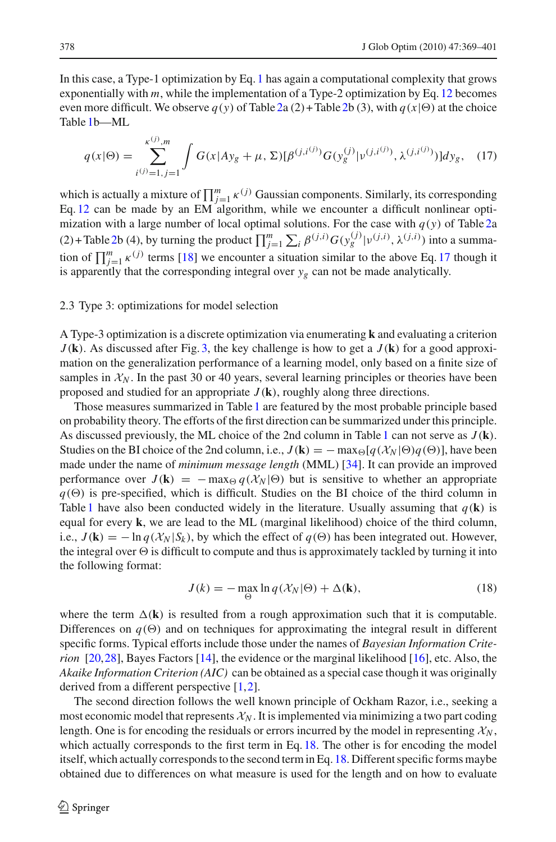In this case, a Type-1 optimization by Eq. [1](#page-4-2) has again a computational complexity that grows exponentially with *m*, while the implementation of a Type-2 optimization by Eq. [12](#page-7-0) becomes even more difficult. We observe  $q(y)$  of Table [2a](#page-6-0) (2) + Table [2b](#page-6-0) (3), with  $q(x|\Theta)$  at the choice Table [1b](#page-2-0)—ML

$$
q(x|\Theta) = \sum_{i^{(j)}=1, j=1}^{k^{(j)}, m} \int G(x|Ay_g + \mu, \Sigma) [\beta^{(j, i^{(j)})} G(y_g^{(j)} | \nu^{(j, i^{(j)})}, \lambda^{(j, i^{(j)})})] dy_g, \quad (17)
$$

<span id="page-9-0"></span>which is actually a mixture of  $\prod_{j=1}^{m} \kappa^{(j)}$  Gaussian components. Similarly, its corresponding Eq. [12](#page-7-0) can be made by an EM algorithm, while we encounter a difficult nonlinear optimization with a large number of local optimal solutions. For the case with  $q(y)$  of Table [2a](#page-6-0) (2) + Table [2b](#page-6-0) (4), by turning the product  $\prod_{j=1}^{m} \sum_{i} \beta^{(j,i)} G(y_g^{(j)} | v^{(j,i)}, \lambda^{(j,i)})$  into a summation of  $\prod_{j=1}^{m} \kappa^{(j)}$  terms [\[18](#page-30-6)] we encounter a situation similar to the above Eq. [17](#page-9-0) though it is apparently that the corresponding integral over  $y_g$  can not be made analytically.

# <span id="page-9-2"></span>2.3 Type 3: optimizations for model selection

A Type-3 optimization is a discrete optimization via enumerating **k** and evaluating a criterion  $J(\mathbf{k})$ . As discussed after Fig. [3,](#page-4-0) the key challenge is how to get a  $J(\mathbf{k})$  for a good approximation on the generalization performance of a learning model, only based on a finite size of samples in  $X_N$ . In the past 30 or 40 years, several learning principles or theories have been proposed and studied for an appropriate *J* (**k**), roughly along three directions.

Those measures summarized in Table [1](#page-2-0) are featured by the most probable principle based on probability theory. The efforts of the first direction can be summarized under this principle. As discussed previously, the ML choice of the 2nd column in Table [1](#page-2-0) can not serve as *J* (**k**). Studies on the BI choice of the 2nd column, i.e.,  $J(\mathbf{k}) = -\max_{\Theta}[q(\mathcal{X}_N|\Theta)q(\Theta)]$ , have been made under the name of *minimum message length* (MML) [\[34\]](#page-31-0). It can provide an improved performance over  $J(\mathbf{k}) = -\max_{\Theta} q(X_N|\Theta)$  but is sensitive to whether an appropriate  $q(\Theta)$  is pre-specified, which is difficult. Studies on the BI choice of the third column in Table [1](#page-2-0) have also been conducted widely in the literature. Usually assuming that  $q(\mathbf{k})$  is equal for every **k**, we are lead to the ML (marginal likelihood) choice of the third column, i.e.,  $J(\mathbf{k}) = -\ln q(X_N | S_k)$ , by which the effect of  $q(\Theta)$  has been integrated out. However, the integral over  $\Theta$  is difficult to compute and thus is approximately tackled by turning it into the following format:

$$
J(k) = -\max_{\Theta} \ln q(\mathcal{X}_N|\Theta) + \Delta(\mathbf{k}),\tag{18}
$$

<span id="page-9-1"></span>where the term  $\Delta(\mathbf{k})$  is resulted from a rough approximation such that it is computable. Differences on  $q(\Theta)$  and on techniques for approximating the integral result in different specific forms. Typical efforts include those under the names of *Bayesian Information Criterion* [\[20,](#page-30-7)[28](#page-31-11)], Bayes Factors [\[14](#page-30-8)], the evidence or the marginal likelihood [\[16](#page-30-9)], etc. Also, the *Akaike Information Criterion (AIC)* can be obtained as a special case though it was originally derived from a different perspective [\[1,](#page-30-10)[2](#page-30-11)].

The second direction follows the well known principle of Ockham Razor, i.e., seeking a most economic model that represents  $X_N$ . It is implemented via minimizing a two part coding length. One is for encoding the residuals or errors incurred by the model in representing  $\chi_N$ , which actually corresponds to the first term in Eq. [18.](#page-9-1) The other is for encoding the model itself, which actually corresponds to the second term in Eq. [18.](#page-9-1) Different specific forms maybe obtained due to differences on what measure is used for the length and on how to evaluate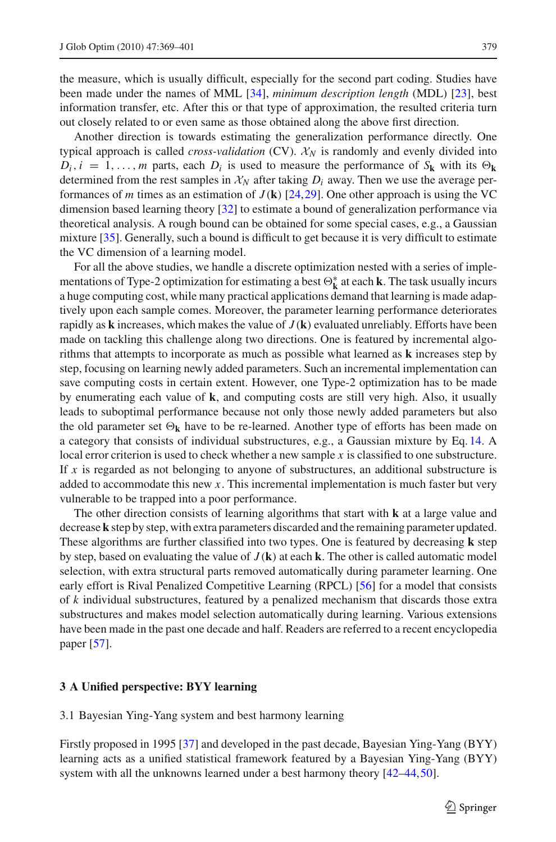the measure, which is usually difficult, especially for the second part coding. Studies have been made under the names of MML [\[34](#page-31-0)], *minimum description length* (MDL) [\[23](#page-30-12)], best information transfer, etc. After this or that type of approximation, the resulted criteria turn out closely related to or even same as those obtained along the above first direction.

Another direction is towards estimating the generalization performance directly. One typical approach is called *cross-validation* (CV).  $\mathcal{X}_N$  is randomly and evenly divided into  $D_i$ ,  $i = 1, \ldots, m$  parts, each  $D_i$  is used to measure the performance of  $S_k$  with its  $\Theta_k$ determined from the rest samples in  $X_N$  after taking  $D_i$  away. Then we use the average performances of *m* times as an estimation of *J* (**k**) [\[24](#page-30-13)[,29](#page-31-12)]. One other approach is using the VC dimension based learning theory [\[32\]](#page-31-13) to estimate a bound of generalization performance via theoretical analysis. A rough bound can be obtained for some special cases, e.g., a Gaussian mixture [\[35](#page-31-14)]. Generally, such a bound is difficult to get because it is very difficult to estimate the VC dimension of a learning model.

For all the above studies, we handle a discrete optimization nested with a series of implementations of Type-2 optimization for estimating a best  $\Theta_k^*$  at each **k**. The task usually incurs a huge computing cost, while many practical applications demand that learning is made adaptively upon each sample comes. Moreover, the parameter learning performance deteriorates rapidly as **k** increases, which makes the value of  $J(\mathbf{k})$  evaluated unreliably. Efforts have been made on tackling this challenge along two directions. One is featured by incremental algorithms that attempts to incorporate as much as possible what learned as **k** increases step by step, focusing on learning newly added parameters. Such an incremental implementation can save computing costs in certain extent. However, one Type-2 optimization has to be made by enumerating each value of **k**, and computing costs are still very high. Also, it usually leads to suboptimal performance because not only those newly added parameters but also the old parameter set  $\Theta_k$  have to be re-learned. Another type of efforts has been made on a category that consists of individual substructures, e.g., a Gaussian mixture by Eq. [14.](#page-8-1) A local error criterion is used to check whether a new sample *x* is classified to one substructure. If *x* is regarded as not belonging to anyone of substructures, an additional substructure is added to accommodate this new *x*. This incremental implementation is much faster but very vulnerable to be trapped into a poor performance.

The other direction consists of learning algorithms that start with **k** at a large value and decrease **k** step by step, with extra parameters discarded and the remaining parameter updated. These algorithms are further classified into two types. One is featured by decreasing **k** step by step, based on evaluating the value of  $J(\mathbf{k})$  at each  $\mathbf{k}$ . The other is called automatic model selection, with extra structural parts removed automatically during parameter learning. One early effort is Rival Penalized Competitive Learning (RPCL) [\[56\]](#page-32-0) for a model that consists of *k* individual substructures, featured by a penalized mechanism that discards those extra substructures and makes model selection automatically during learning. Various extensions have been made in the past one decade and half. Readers are referred to a recent encyclopedia paper [\[57](#page-32-1)].

# <span id="page-10-0"></span>**3 A Unified perspective: BYY learning**

3.1 Bayesian Ying-Yang system and best harmony learning

Firstly proposed in 1995 [\[37\]](#page-31-2) and developed in the past decade, Bayesian Ying-Yang (BYY) learning acts as a unified statistical framework featured by a Bayesian Ying-Yang (BYY) system with all the unknowns learned under a best harmony theory [\[42](#page-31-5)[–44](#page-31-15),[50\]](#page-31-3).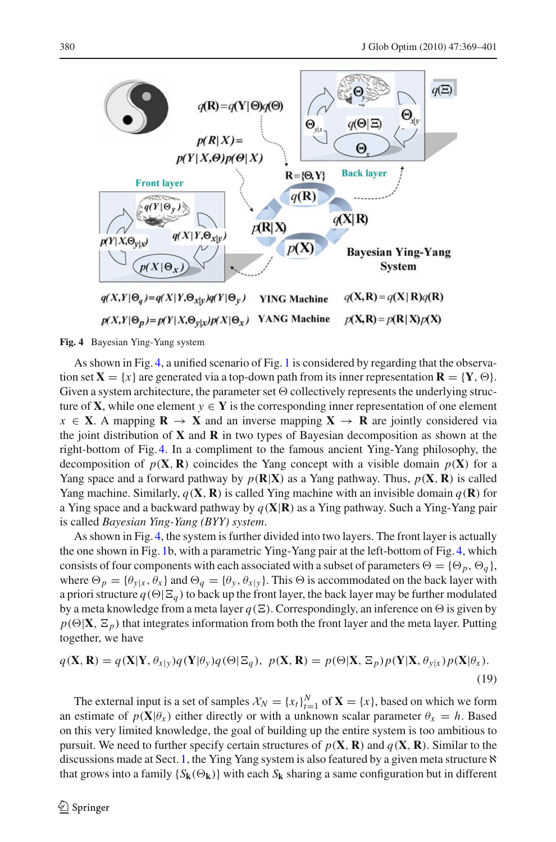

#### <span id="page-11-0"></span>**Fig. 4** Bayesian Ying-Yang system

As shown in Fig. [4,](#page-11-0) a unified scenario of Fig. [1](#page-1-0) is considered by regarding that the observation set  $X = \{x\}$  are generated via a top-down path from its inner representation  $\mathbf{R} = \{Y, \Theta\}$ . Given a system architecture, the parameter set  $\Theta$  collectively represents the underlying structure of **X**, while one element  $y \in Y$  is the corresponding inner representation of one element  $x \in \mathbf{X}$ . A mapping  $\mathbf{R} \to \mathbf{X}$  and an inverse mapping  $\mathbf{X} \to \mathbf{R}$  are jointly considered via the joint distribution of **X** and **R** in two types of Bayesian decomposition as shown at the right-bottom of Fig. [4.](#page-11-0) In a compliment to the famous ancient Ying-Yang philosophy, the decomposition of  $p(X, R)$  coincides the Yang concept with a visible domain  $p(X)$  for a Yang space and a forward pathway by  $p(\mathbf{R}|\mathbf{X})$  as a Yang pathway. Thus,  $p(\mathbf{X}, \mathbf{R})$  is called Yang machine. Similarly,  $q(X, R)$  is called Ying machine with an invisible domain  $q(R)$  for a Ying space and a backward pathway by *q*(**X**|**R**) as a Ying pathway. Such a Ying-Yang pair is called *Bayesian Ying-Yang (BYY) system*.

As shown in Fig. [4,](#page-11-0) the system is further divided into two layers. The front layer is actually the one shown in Fig. [1b](#page-1-0), with a parametric Ying-Yang pair at the left-bottom of Fig. [4,](#page-11-0) which consists of four components with each associated with a subset of parameters  $\Theta = {\Theta_p, \Theta_q},$ where  $\Theta_p = \{\theta_{y|x}, \theta_x\}$  and  $\Theta_q = \{\theta_y, \theta_{x|y}\}$ . This  $\Theta$  is accommodated on the back layer with a priori structure  $q(\Theta | \Xi_q)$  to back up the front layer, the back layer may be further modulated by a meta knowledge from a meta layer  $q(\Xi)$ . Correspondingly, an inference on  $\Theta$  is given by  $p(\Theta|\mathbf{X}, \Xi_p)$  that integrates information from both the front layer and the meta layer. Putting together, we have

$$
q(\mathbf{X}, \mathbf{R}) = q(\mathbf{X} | \mathbf{Y}, \theta_{x|y}) q(\mathbf{Y} | \theta_y) q(\Theta | \Xi_q), \ p(\mathbf{X}, \mathbf{R}) = p(\Theta | \mathbf{X}, \Xi_p) p(\mathbf{Y} | \mathbf{X}, \theta_{y|x}) p(\mathbf{X} | \theta_x).
$$
\n(19)

The external input is a set of samples  $\mathcal{X}_N = \{x_t\}_{t=1}^N$  of  $\mathbf{X} = \{x\}$ , based on which we form an estimate of  $p(X|\theta_x)$  either directly or with a unknown scalar parameter  $\theta_x = h$ . Based on this very limited knowledge, the goal of building up the entire system is too ambitious to pursuit. We need to further specify certain structures of  $p(X, R)$  and  $q(X, R)$ . Similar to the discussions made at Sect. [1,](#page-0-0) the Ying Yang system is also featured by a given meta structure  $\aleph$ that grows into a family  ${S_k(\Theta_k)}$  with each  $S_k$  sharing a same configuration but in different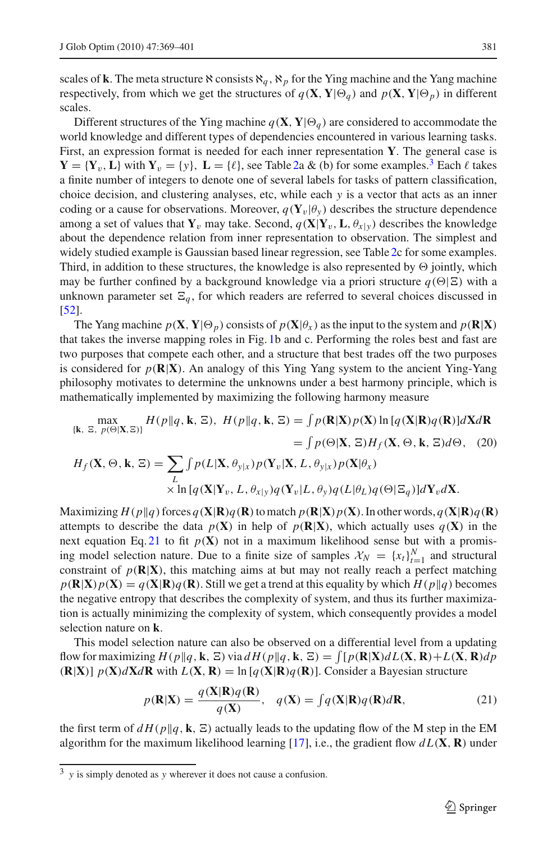scales of **k**. The meta structure  $\aleph$  consists  $\aleph_q$ ,  $\aleph_p$  for the Ying machine and the Yang machine respectively, from which we get the structures of  $q(\mathbf{X}, \mathbf{Y} | \Theta_q)$  and  $p(\mathbf{X}, \mathbf{Y} | \Theta_p)$  in different scales.

Different structures of the Ying machine  $q(\mathbf{X}, \mathbf{Y} | \Theta_q)$  are considered to accommodate the world knowledge and different types of dependencies encountered in various learning tasks. First, an expression format is needed for each inner representation **Y**. The general case is  $Y = \{Y_v, L\}$  with  $Y_v = \{y\}$ ,  $L = \{\ell\}$ , see Table [2a](#page-6-0) & (b) for some examples.<sup>[3](#page-12-0)</sup> Each  $\ell$  takes a finite number of integers to denote one of several labels for tasks of pattern classification, choice decision, and clustering analyses, etc, while each *y* is a vector that acts as an inner coding or a cause for observations. Moreover,  $q(Y_v | \theta_v)$  describes the structure dependence among a set of values that  $Y_v$  may take. Second,  $q(X|Y_v, L, \theta_{x|y})$  describes the knowledge about the dependence relation from inner representation to observation. The simplest and widely studied example is Gaussian based linear regression, see Table [2c](#page-6-0) for some examples. Third, in addition to these structures, the knowledge is also represented by  $\Theta$  jointly, which may be further confined by a background knowledge via a priori structure  $q(\Theta|\Xi)$  with a unknown parameter set  $\Xi_q$ , for which readers are referred to several choices discussed in [\[52\]](#page-31-16).

The Yang machine  $p(\mathbf{X}, \mathbf{Y} | \Theta_p)$  consists of  $p(\mathbf{X} | \theta_x)$  as the input to the system and  $p(\mathbf{R} | \mathbf{X})$ that takes the inverse mapping roles in Fig. [1b](#page-1-0) and c. Performing the roles best and fast are two purposes that compete each other, and a structure that best trades off the two purposes is considered for  $p(\mathbf{R}|\mathbf{X})$ . An analogy of this Ying Yang system to the ancient Ying-Yang philosophy motivates to determine the unknowns under a best harmony principle, which is mathematically implemented by maximizing the following harmony measure

<span id="page-12-2"></span>
$$
\max_{\{\mathbf{k}, \Sigma, p(\Theta|\mathbf{X}, \Sigma)\}} H(p \| q, \mathbf{k}, \Sigma), H(p \| q, \mathbf{k}, \Sigma) = \int p(\mathbf{R}|\mathbf{X}) p(\mathbf{X}) \ln \left[ q(\mathbf{X}|\mathbf{R}) q(\mathbf{R}) \right] d\mathbf{X} d\mathbf{R}
$$
  
= 
$$
\int p(\Theta|\mathbf{X}, \Sigma) H_f(\mathbf{X}, \Theta, \mathbf{k}, \Sigma) d\Theta, (20)
$$
  

$$
H_c(\mathbf{X}, \Theta, \mathbf{k}, \Sigma) = \sum \int p(L|\mathbf{X}, \theta_{\text{min}}) p(\mathbf{Y}_{\text{min}}|\mathbf{X}, \theta_{\text{min}}) p(\mathbf{X}|\theta_{\text{min}})
$$

$$
H_f(\mathbf{X}, \Theta, \mathbf{k}, \Xi) = \sum_{L} \int p(L|\mathbf{X}, \theta_{y|x}) p(\mathbf{Y}_v | \mathbf{X}, L, \theta_{y|x}) p(\mathbf{X} | \theta_x)
$$
  
 
$$
\times \ln [q(\mathbf{X} | \mathbf{Y}_v, L, \theta_{x|y}) q(\mathbf{Y}_v | L, \theta_y) q(L | \theta_L) q(\Theta | \Xi_q)] d\mathbf{Y}_v d\mathbf{X}.
$$

Maximizing  $H(p||q)$  forces  $q(\mathbf{X}|\mathbf{R})q(\mathbf{R})$  to match  $p(\mathbf{R}|\mathbf{X})p(\mathbf{X})$ . In other words,  $q(\mathbf{X}|\mathbf{R})q(\mathbf{R})$ attempts to describe the data  $p(X)$  in help of  $p(R|X)$ , which actually uses  $q(X)$  in the next equation Eq. [21](#page-12-1) to fit  $p(X)$  not in a maximum likelihood sense but with a promising model selection nature. Due to a finite size of samples  $X_N = \{x_t\}_{t=1}^N$  and structural constraint of  $p(\mathbf{R}|\mathbf{X})$ , this matching aims at but may not really reach a perfect matching  $p(\mathbf{R}|\mathbf{X})p(\mathbf{X}) = q(\mathbf{X}|\mathbf{R})q(\mathbf{R})$ . Still we get a trend at this equality by which  $H(p||q)$  becomes the negative entropy that describes the complexity of system, and thus its further maximization is actually minimizing the complexity of system, which consequently provides a model selection nature on **k**.

This model selection nature can also be observed on a differential level from a updating flow for maximizing  $H(p||q, \mathbf{k}, \Xi)$  via  $dH(p||q, \mathbf{k}, \Xi) = \int [p(\mathbf{R}|\mathbf{X}) dL(\mathbf{X}, \mathbf{R}) + L(\mathbf{X}, \mathbf{R}) dp$  $({\bf R}|\bf{X})$ ]  $p(\bf{X})d\bf{X}d\bf{R}$  with  $L(\bf{X}, \bf{R}) = \ln [q(\bf{X}|\bf{R})q(\bf{R})]$ . Consider a Bayesian structure

$$
p(\mathbf{R}|\mathbf{X}) = \frac{q(\mathbf{X}|\mathbf{R})q(\mathbf{R})}{q(\mathbf{X})}, \quad q(\mathbf{X}) = \int q(\mathbf{X}|\mathbf{R})q(\mathbf{R})d\mathbf{R},
$$
\n(21)

<span id="page-12-1"></span>the first term of  $dH(p||q, \mathbf{k}, \Xi)$  actually leads to the updating flow of the M step in the EM algorithm for the maximum likelihood learning  $[17]$  $[17]$ , i.e., the gradient flow  $dL(\mathbf{X}, \mathbf{R})$  under

<span id="page-12-0"></span><sup>3</sup> *y* is simply denoted as *y* wherever it does not cause a confusion.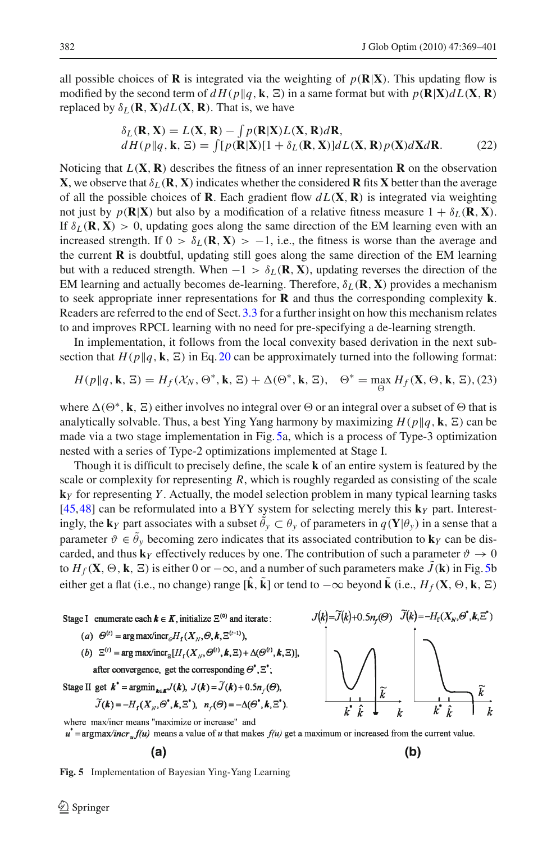all possible choices of **R** is integrated via the weighting of  $p(\mathbf{R}|\mathbf{X})$ . This updating flow is modified by the second term of  $dH(p||q, \mathbf{k}, \Xi)$  in a same format but with  $p(\mathbf{R}|\mathbf{X})dL(\mathbf{X}, \mathbf{R})$ replaced by  $\delta_L(\mathbf{R}, \mathbf{X}) dL(\mathbf{X}, \mathbf{R})$ . That is, we have

$$
\delta_L(\mathbf{R}, \mathbf{X}) = L(\mathbf{X}, \mathbf{R}) - \int p(\mathbf{R}|\mathbf{X}) L(\mathbf{X}, \mathbf{R}) d\mathbf{R},
$$
  
\n
$$
dH(p||q, \mathbf{k}, \Xi) = \int [p(\mathbf{R}|\mathbf{X})[1 + \delta_L(\mathbf{R}, \mathbf{X})] dL(\mathbf{X}, \mathbf{R}) p(\mathbf{X}) d\mathbf{X} d\mathbf{R}.
$$
\n(22)

<span id="page-13-1"></span>Noticing that  $L(X, R)$  describes the fitness of an inner representation **R** on the observation **X**, we observe that  $\delta_L(\mathbf{R}, \mathbf{X})$  indicates whether the considered **R** fits **X** better than the average of all the possible choices of **R**. Each gradient flow  $dL(\mathbf{X}, \mathbf{R})$  is integrated via weighting not just by  $p(\mathbf{R}|\mathbf{X})$  but also by a modification of a relative fitness measure  $1 + \delta_L(\mathbf{R}, \mathbf{X})$ . If  $\delta_L(\mathbf{R}, \mathbf{X}) > 0$ , updating goes along the same direction of the EM learning even with an increased strength. If  $0 > \delta_L(\mathbf{R}, \mathbf{X}) > -1$ , i.e., the fitness is worse than the average and the current  **is doubtful, updating still goes along the same direction of the EM learning** but with a reduced strength. When  $-1 > \delta_L(\mathbf{R}, \mathbf{X})$ , updating reverses the direction of the EM learning and actually becomes de-learning. Therefore,  $\delta_L(\mathbf{R}, \mathbf{X})$  provides a mechanism to seek appropriate inner representations for **R** and thus the corresponding complexity **k**. Readers are referred to the end of Sect. [3.3](#page-19-0) for a further insight on how this mechanism relates to and improves RPCL learning with no need for pre-specifying a de-learning strength.

In implementation, it follows from the local convexity based derivation in the next subsection that  $H(p||q, \mathbf{k}, \Xi)$  in Eq. [20](#page-12-2) can be approximately turned into the following format:

$$
H(p||q, \mathbf{k}, \Xi) = H_f(\mathcal{X}_N, \Theta^*, \mathbf{k}, \Xi) + \Delta(\Theta^*, \mathbf{k}, \Xi), \quad \Theta^* = \max_{\Theta} H_f(\mathbf{X}, \Theta, \mathbf{k}, \Xi), (23)
$$

<span id="page-13-2"></span>where  $\Delta(\Theta^*, \mathbf{k}, \Xi)$  either involves no integral over  $\Theta$  or an integral over a subset of  $\Theta$  that is analytically solvable. Thus, a best Ying Yang harmony by maximizing  $H(p||q, \mathbf{k}, \Xi)$  can be made via a two stage implementation in Fig. [5a](#page-13-0), which is a process of Type-3 optimization nested with a series of Type-2 optimizations implemented at Stage I.

Though it is difficult to precisely define, the scale **k** of an entire system is featured by the scale or complexity for representing *R*, which is roughly regarded as consisting of the scale **k***<sup>Y</sup>* for representing *Y* . Actually, the model selection problem in many typical learning tasks [\[45,](#page-31-17)[48](#page-31-18)] can be reformulated into a BYY system for selecting merely this  $\mathbf{k}_Y$  part. Interestingly, the  $\bf{k}_Y$  part associates with a subset  $\tilde{\theta}_y \subset \theta_y$  of parameters in  $q(\bf{Y}|\theta_y)$  in a sense that a parameter  $\vartheta \in \tilde{\theta}_y$  becoming zero indicates that its associated contribution to  $\mathbf{k}_Y$  can be discarded, and thus  $\mathbf{k}_Y$  effectively reduces by one. The contribution of such a parameter  $\vartheta \to 0$ to  $H_f(\mathbf{X}, \Theta, \mathbf{k}, \Xi)$  is either 0 or  $-\infty$ , and a number of such parameters make  $\tilde{J}(\mathbf{k})$  in Fig. [5b](#page-13-0) either get a flat (i.e., no change) range  $[\hat{\mathbf{k}}, \tilde{\mathbf{k}}]$  or tend to  $-\infty$  beyond  $\tilde{\mathbf{k}}$  (i.e.,  $H_f(\mathbf{X}, \Theta, \mathbf{k}, \Xi)$ 

Stage I enumerate each 
$$
k \in K
$$
, initialize  $\Xi^{(0)}$  and iterate :  
\n(a)  $\Theta^{(t)} = \arg \max / \text{incr}_{\phi} H_f(X_N, \Theta, k, \Xi^{(t-1)}),$   
\n(b)  $\Xi^{(t)} = \arg \max / \text{incr}_{\Xi}[H_f(X_N, \Theta^{(t)}, k, \Xi) + \Delta(\Theta^{(t)}, k, \Xi)],$   
\nafter convergence, get the corresponding  $\Theta^*, \Xi^*$ ;  
\nStage II get  $k^*$  = argmin <sub>$k \in K^J(k)$</sub> ,  $J(k) = \tilde{J}(k) + 0.5n_f(\Theta),$   
\n $\tilde{J}(k) = -H_f(X_N, \Theta^*, k, \Xi^*)$ ,  $n_f(\Theta) = -\Delta(\Theta^*, k, \Xi^*)$ .  
\nwhere max/incr means "maximize or increase" and

 $u'$  = argmax/incr<sub>u</sub>f(u) means a value of u that makes  $f(u)$  get a maximum or increased from the current value.

 $(b)$ 

 $(a)$ 

<span id="page-13-0"></span>**Fig. 5** Implementation of Bayesian Ying-Yang Learning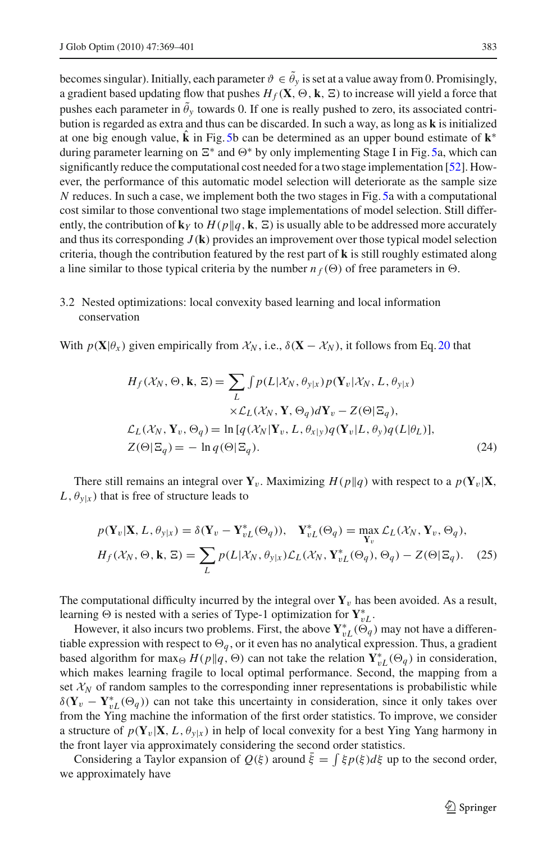becomes singular). Initially, each parameter  $\vartheta \in \tilde{\theta}_y$  is set at a value away from 0. Promisingly, a gradient based updating flow that pushes  $H_f(\mathbf{X}, \Theta, \mathbf{k}, \Xi)$  to increase will yield a force that pushes each parameter in  $\tilde{\theta}_y$  towards 0. If one is really pushed to zero, its associated contribution is regarded as extra and thus can be discarded. In such a way, as long as **k** is initialized at one big enough value, **k** in Fig. [5b](#page-13-0) can be determined as an upper bound estimate of  $\mathbf{k}^*$ during parameter learning on  $\Xi^*$  and  $\Theta^*$  by only implementing Stage I in Fig. [5a](#page-13-0), which can significantly reduce the computational cost needed for a two stage implementation [\[52\]](#page-31-16). However, the performance of this automatic model selection will deteriorate as the sample size *N* reduces. In such a case, we implement both the two stages in Fig. [5a](#page-13-0) with a computational cost similar to those conventional two stage implementations of model selection. Still differently, the contribution of  $\mathbf{k}_Y$  to  $H(p||q, \mathbf{k}, \Xi)$  is usually able to be addressed more accurately and thus its corresponding  $J(\mathbf{k})$  provides an improvement over those typical model selection criteria, though the contribution featured by the rest part of **k** is still roughly estimated along a line similar to those typical criteria by the number  $n_f(\Theta)$  of free parameters in  $\Theta$ .

# <span id="page-14-2"></span>3.2 Nested optimizations: local convexity based learning and local information conservation

<span id="page-14-0"></span>With  $p(\mathbf{X}|\theta_x)$  given empirically from  $\mathcal{X}_N$ , i.e.,  $\delta(\mathbf{X}-\mathcal{X}_N)$ , it follows from Eq. [20](#page-12-2) that

$$
H_f(\mathcal{X}_N, \Theta, \mathbf{k}, \Xi) = \sum_{L} \int p(L|\mathcal{X}_N, \theta_{y|x}) p(\mathbf{Y}_v | \mathcal{X}_N, L, \theta_{y|x})
$$
  
\n
$$
\times \mathcal{L}_L(\mathcal{X}_N, \mathbf{Y}, \Theta_q) d\mathbf{Y}_v - Z(\Theta | \Xi_q),
$$
  
\n
$$
\mathcal{L}_L(\mathcal{X}_N, \mathbf{Y}_v, \Theta_q) = \ln [q(\mathcal{X}_N | \mathbf{Y}_v, L, \theta_{x|y}) q(\mathbf{Y}_v | L, \theta_y) q(L | \theta_L)],
$$
  
\n
$$
Z(\Theta | \Xi_q) = - \ln q(\Theta | \Xi_q).
$$
 (24)

<span id="page-14-1"></span>There still remains an integral over  $\mathbf{Y}_v$ . Maximizing  $H(p||q)$  with respect to a  $p(\mathbf{Y}_v|\mathbf{X})$ ,  $L, \theta_{v|x}$  that is free of structure leads to

$$
p(\mathbf{Y}_v|\mathbf{X}, L, \theta_{y|x}) = \delta(\mathbf{Y}_v - \mathbf{Y}_{vL}^*(\Theta_q)), \quad \mathbf{Y}_{vL}^*(\Theta_q) = \max_{\mathbf{Y}_v} \mathcal{L}_L(\mathcal{X}_N, \mathbf{Y}_v, \Theta_q),
$$
  

$$
H_f(\mathcal{X}_N, \Theta, \mathbf{k}, \Xi) = \sum_L p(L|\mathcal{X}_N, \theta_{y|x}) \mathcal{L}_L(\mathcal{X}_N, \mathbf{Y}_{vL}^*(\Theta_q), \Theta_q) - Z(\Theta|\Xi_q).
$$
 (25)

The computational difficulty incurred by the integral over  $Y_v$  has been avoided. As a result, learning  $\Theta$  is nested with a series of Type-1 optimization for  $\mathbf{Y}_{vL}^*$ .

However, it also incurs two problems. First, the above  $\mathbf{Y}_{vL}^*(\Theta_q)$  may not have a differentiable expression with respect to  $\Theta_q$ , or it even has no analytical expression. Thus, a gradient based algorithm for max<sub> $\Theta$ </sub>  $H(p||q, \Theta)$  can not take the relation  $\mathbf{Y}_{vL}^*(\Theta_q)$  in consideration, which makes learning fragile to local optimal performance. Second, the mapping from a set  $X_N$  of random samples to the corresponding inner representations is probabilistic while  $\delta(\mathbf{Y}_v - \mathbf{Y}_{vL}^*(\Theta_q))$  can not take this uncertainty in consideration, since it only takes over from the Ying machine the information of the first order statistics. To improve, we consider a structure of  $p(Y_v|X, L, \theta_{v|x})$  in help of local convexity for a best Ying Yang harmony in the front layer via approximately considering the second order statistics.

Considering a Taylor expansion of  $Q(\xi)$  around  $\bar{\xi} = \int \xi p(\xi) d\xi$  up to the second order, we approximately have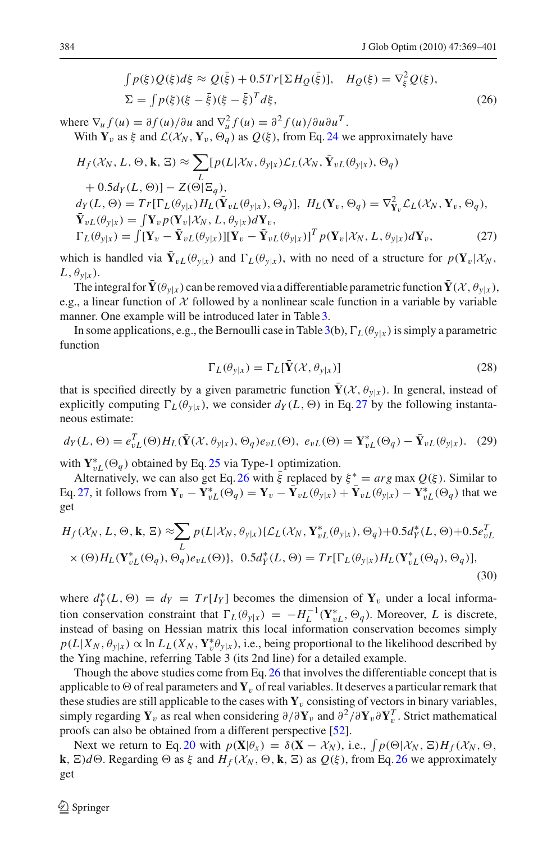$$
\int p(\xi)Q(\xi)d\xi \approx Q(\bar{\xi}) + 0.5Tr[\Sigma H_Q(\bar{\xi})], \quad H_Q(\xi) = \nabla_{\xi}^2 Q(\xi),
$$
  
\n
$$
\Sigma = \int p(\xi)(\xi - \bar{\xi})(\xi - \bar{\xi})^T d\xi,
$$
\n(26)

<span id="page-15-1"></span><span id="page-15-0"></span>where  $\nabla_u f(u) = \partial f(u) / \partial u$  and  $\nabla_u^2 f(u) = \partial^2 f(u) / \partial u \partial u^T$ .

With  $Y_v$  as  $\xi$  and  $\mathcal{L}(\mathcal{X}_N, Y_v, \Theta_q)$  as  $Q(\xi)$ , from Eq. [24](#page-14-0) we approximately have

$$
H_f(\mathcal{X}_N, L, \Theta, \mathbf{k}, \Xi) \approx \sum_{L} [p(L|\mathcal{X}_N, \theta_{y|x}) \mathcal{L}_L(\mathcal{X}_N, \bar{\mathbf{Y}}_{vL}(\theta_{y|x}), \Theta_q) + 0.5d_Y(L, \Theta)] - Z(\Theta|\Xi_q), d_Y(L, \Theta) = Tr[\Gamma_L(\theta_{y|x}) H_L(\bar{\mathbf{Y}}_{vL}(\theta_{y|x}), \Theta_q)], H_L(\mathbf{Y}_v, \Theta_q) = \nabla_{\mathbf{Y}_v}^2 \mathcal{L}_L(\mathcal{X}_N, \mathbf{Y}_v, \Theta_q), \n\bar{\mathbf{Y}}_{vL}(\theta_{y|x}) = \int \mathbf{Y}_v p(\mathbf{Y}_v|\mathcal{X}_N, L, \theta_{y|x}) d\mathbf{Y}_v, \n\Gamma_L(\theta_{y|x}) = \int [\mathbf{Y}_v - \bar{\mathbf{Y}}_{vL}(\theta_{y|x})] [\mathbf{Y}_v - \bar{\mathbf{Y}}_{vL}(\theta_{y|x})]^T p(\mathbf{Y}_v|\mathcal{X}_N, L, \theta_{y|x}) d\mathbf{Y}_v, \tag{27}
$$

which is handled via  $\bar{\mathbf{Y}}_{vL}(\theta_{y|x})$  and  $\Gamma_L(\theta_{y|x})$ , with no need of a structure for  $p(\mathbf{Y}_v|\mathcal{X}_N)$ ,  $L, \theta_{v|x}$ ).

The integral for  $\bar{\mathbf{Y}}(\theta_{\nu|x})$  can be removed via a differentiable parametric function  $\bar{\mathbf{Y}}(\mathcal{X}, \theta_{\nu|x})$ , e.g., a linear function of  $X$  followed by a nonlinear scale function in a variable by variable manner. One example will be introduced later in Table [3.](#page-16-0)

In some applications, e.g., the Bernoulli case in Table [3\(](#page-16-0)b),  $\Gamma_L(\theta_{y|x})$  is simply a parametric function

$$
\Gamma_L(\theta_{y|x}) = \Gamma_L[\bar{\mathbf{Y}}(\mathcal{X}, \theta_{y|x})]
$$
\n(28)

<span id="page-15-2"></span>that is specified directly by a given parametric function  $\bar{\mathbf{Y}}(\mathcal{X}, \theta_{\nu|x})$ . In general, instead of explicitly computing  $\Gamma_L(\theta_{y|x})$ , we consider  $d_Y(L, \Theta)$  in Eq. [27](#page-15-0) by the following instantaneous estimate:

<span id="page-15-3"></span>
$$
d_Y(L, \Theta) = e_{vL}^T(\Theta) H_L(\bar{\mathbf{Y}}(\mathcal{X}, \theta_{y|x}), \Theta_q) e_{vL}(\Theta), \ e_{vL}(\Theta) = \mathbf{Y}_{vL}^*(\Theta_q) - \bar{\mathbf{Y}}_{vL}(\theta_{y|x}). \tag{29}
$$

with  $\mathbf{Y}_{vL}^*(\Theta_q)$  obtained by Eq. [25](#page-14-1) via Type-1 optimization.

Alternatively, we can also get Eq. [26](#page-15-1) with  $\bar{\xi}$  replaced by  $\xi^* = arg \max Q(\xi)$ . Similar to Eq. [27,](#page-15-0) it follows from  $\mathbf{Y}_v - \mathbf{Y}_{vL}^*(\Theta_q) = \mathbf{Y}_v - \mathbf{Y}_{vL}(\theta_{y|x}) + \mathbf{Y}_{vL}(\theta_{y|x}) - \mathbf{Y}_{vL}^*(\Theta_q)$  that we get

$$
H_f(\mathcal{X}_N, L, \Theta, \mathbf{k}, \Xi) \approx \sum_{L} p(L|\mathcal{X}_N, \theta_{y|x}) \{ \mathcal{L}_L(\mathcal{X}_N, \mathbf{Y}_{vL}^*(\theta_{y|x}), \Theta_q) + 0.5d_Y^*(L, \Theta) + 0.5e_{vL}^T \times (\Theta) H_L(\mathbf{Y}_{vL}^*(\Theta_q), \Theta_q)e_{vL}(\Theta) \}, \quad 0.5d_Y^*(L, \Theta) = Tr[\Gamma_L(\theta_{y|x})H_L(\mathbf{Y}_{vL}^*(\Theta_q), \Theta_q)],
$$
\n(30)

where  $d_Y^*(L, \Theta) = d_Y = Tr[I_Y]$  becomes the dimension of  $Y_v$  under a local information conservation constraint that  $\Gamma_L(\theta_{y|x}) = -H_L^{-1}(\mathbf{Y}_{vL}^*, \Theta_q)$ . Moreover, *L* is discrete, instead of basing on Hessian matrix this local information conservation becomes simply  $p(L|X_N, \theta_{y|x}) \propto \ln L_L(X_N, \mathbf{Y}_v^* \theta_{y|x}),$  i.e., being proportional to the likelihood described by the Ying machine, referring Table 3 (its 2nd line) for a detailed example.

Though the above studies come from Eq. [26](#page-15-1) that involves the differentiable concept that is applicable to  $\Theta$  of real parameters and  $\mathbf{Y}_v$  of real variables. It deserves a particular remark that these studies are still applicable to the cases with  $\mathbf{Y}_v$  consisting of vectors in binary variables, simply regarding  $\mathbf{Y}_v$  as real when considering  $\partial/\partial \mathbf{Y}_v$  and  $\partial^2/\partial \mathbf{Y}_v \partial \mathbf{Y}_v^T$ . Strict mathematical proofs can also be obtained from a different perspective [\[52\]](#page-31-16).

Next we return to Eq. [20](#page-12-2) with  $p(\mathbf{X}|\theta_x) = \delta(\mathbf{X} - \mathcal{X}_N)$ , i.e.,  $\int p(\Theta|\mathcal{X}_N, \Xi) H_f(\mathcal{X}_N, \Theta,$ **k**,  $\Xi$ ) $d\Theta$ . Regarding  $\Theta$  as  $\xi$  and  $H_f(\mathcal{X}_N, \Theta, \mathbf{k}, \Xi)$  as  $Q(\xi)$ , from Eq. [26](#page-15-1) we approximately get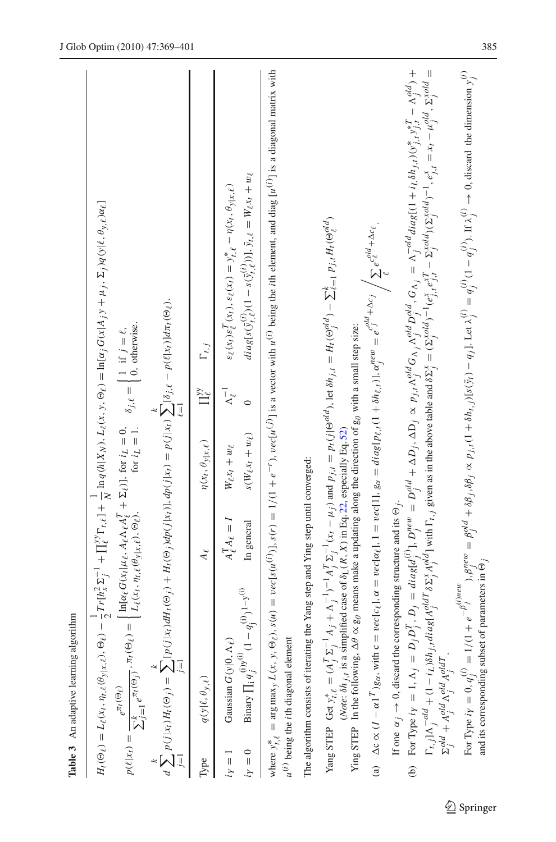|                        | Table 3 An adaptive learning algorithm                                                                                                                                                                                                                                                                                                                                                                                                                                      |                                               |                                                                                                                                                                                                                                                                                                              |                                            |                                                                                                                                                                                                                                                                                                                                                                                                                                                                                                                                                                                                                                                                                                                 |
|------------------------|-----------------------------------------------------------------------------------------------------------------------------------------------------------------------------------------------------------------------------------------------------------------------------------------------------------------------------------------------------------------------------------------------------------------------------------------------------------------------------|-----------------------------------------------|--------------------------------------------------------------------------------------------------------------------------------------------------------------------------------------------------------------------------------------------------------------------------------------------------------------|--------------------------------------------|-----------------------------------------------------------------------------------------------------------------------------------------------------------------------------------------------------------------------------------------------------------------------------------------------------------------------------------------------------------------------------------------------------------------------------------------------------------------------------------------------------------------------------------------------------------------------------------------------------------------------------------------------------------------------------------------------------------------|
|                        |                                                                                                                                                                                                                                                                                                                                                                                                                                                                             |                                               |                                                                                                                                                                                                                                                                                                              |                                            | $H_t(\Theta_\ell)=L_\ell(x_t,\eta_{t,\ell}(\theta_y _{x,\ell}),\Theta_\ell)-\frac{1}{2}Tr[h_x^2\Sigma_f^{-1}+\prod_{\ell}^{y_y}\Gamma_{t,\ell}]+\frac{1}{N}\ln q(h X_N),\\ L_\ell(x,y,\Theta_\ell)=\ln[\alpha_jG(x A_jy+\mu_j,\Sigma_j)q(y \ell,\theta_y,\ell)\alpha_\ell]$                                                                                                                                                                                                                                                                                                                                                                                                                                     |
|                        | $p(\ell x_t) = \frac{\epsilon}{\sum_{j=1}^k e^{\pi_t(\Theta_j)}}, \pi_t(\Theta_\ell)$<br>$e^{\pi_l(\Theta_\ell)}$                                                                                                                                                                                                                                                                                                                                                           |                                               | $= \begin{cases} \ln[\alpha_\ell G(x_t \mu_\ell,A_\ell A\Lambda_\ell A_\ell^T + \Sigma_\ell)], \text{ for } i_L=0,\\ L_\ell(x_t,\eta_{t,t}(\theta_y _{x,t}),\Theta_\ell), \end{cases} \text{ for } i_L=1, \quad \delta_{j,\ell} = \begin{cases} 1 & \text{if } j=\ell,\\ 0, & \text{otherwise}. \end{cases}$ |                                            |                                                                                                                                                                                                                                                                                                                                                                                                                                                                                                                                                                                                                                                                                                                 |
|                        | $d\sum_{j=1}^r p(j x_i)H_l(\Theta_j)=\sum_{j=1}^r [p(j x_i)dB_I(\Theta_j)+H_l(\Theta_j)d p(j x_i) ],\nonumber\\ d p(j x_i)=p(j x_i)\sum_{\ell=1}^r [\delta_{j,\ell}-p(\ell x_i)]d\pi_l(\Theta_\ell).$                                                                                                                                                                                                                                                                       |                                               |                                                                                                                                                                                                                                                                                                              |                                            |                                                                                                                                                                                                                                                                                                                                                                                                                                                                                                                                                                                                                                                                                                                 |
| Type                   | $q(\mathbf{y} \ell,\theta_{\mathbf{y},\ell})$                                                                                                                                                                                                                                                                                                                                                                                                                               | $A_{\ell}$                                    | $\eta(x_t, \theta_{y x, \ell})$                                                                                                                                                                                                                                                                              | $\Pi^{\rm yy}_\ell$                        | $\Gamma_{t,j}$                                                                                                                                                                                                                                                                                                                                                                                                                                                                                                                                                                                                                                                                                                  |
| $i_Y = 0$<br>$i_Y = 1$ | Binary $\prod_i q_i^{(i)y^{(1)}} (1 - q_i^{(i)})^{1 - y^{(i)}}$<br>Gaussian $G(y 0,\Lambda_\ell)$                                                                                                                                                                                                                                                                                                                                                                           | $A_{\ell}^{\rm T} A_{\ell} = I$<br>In general | $s(W_{\ell}x_t + w_{\ell})$<br>$W_{\ell}x_t + w_{\ell}$                                                                                                                                                                                                                                                      | $\Lambda_\ell^{-1}$<br>$\mathord{\subset}$ | $diag[s(\bar{y}_{t,\ell}^{(u)})(1-s(\bar{y}_{t,\ell}^{(i)}))]$ , $\bar{y}_{t,\ell} = W_{\ell}x_t + w_{\ell}$<br>$\varepsilon_{\ell}(x_t)\varepsilon_{\ell}^{I}(x_t), \varepsilon_{\ell}(x_t) = y_{t,\ell}^{*}-\eta(x_t,\theta_{y x,\ell})$                                                                                                                                                                                                                                                                                                                                                                                                                                                                      |
|                        | $u^{(i)}$ being the <i>i</i> th diagonal element                                                                                                                                                                                                                                                                                                                                                                                                                            |                                               |                                                                                                                                                                                                                                                                                                              |                                            | where $y_{i,\ell}^* = \arg \max_{y} L(x, y, \Theta_{\ell}), s(u) = vec[s(u^{(i)})], s(r) = 1/(1 + e^{-r}), vec[u^{(j)}]$ is a vector with $u^{(i)}$ being the <i>i</i> th element, and diag $[u^{(i)}]$ is a diagonal matrix with                                                                                                                                                                                                                                                                                                                                                                                                                                                                               |
|                        | The algorithm consists of iterating the Yang step and Ying step until converged:                                                                                                                                                                                                                                                                                                                                                                                            |                                               |                                                                                                                                                                                                                                                                                                              |                                            |                                                                                                                                                                                                                                                                                                                                                                                                                                                                                                                                                                                                                                                                                                                 |
|                        | Yang STEP Get $y_{i,\ell}^* = (A_1^T \Sigma_1^{-1} A_j + A_1^{-1})^{-1} A_1^T \Sigma_1^{-1} (x_t - \mu_j)$ and $p_{j,t} = p_t(j \Theta^{old})$ , let $\delta h_{j,t} = H_t(\Theta_t^{old}) - \sum_{\ell=1}^k p_{j,t} H_t(\Theta_t^{old})$<br>( <i>Note: <math>\delta h_{j,t}</math> is</i> a simplified case of $\delta_L(R, X)$ in Eq. 22, especially Eq. 52)<br>Ying STEP In the following, $\Delta \theta \propto g_\theta$ means make a updating along the direction of |                                               | $\propto$ g <sub>0</sub> means make a updating along the direction of g <sub>0</sub> with a small step size:                                                                                                                                                                                                 |                                            |                                                                                                                                                                                                                                                                                                                                                                                                                                                                                                                                                                                                                                                                                                                 |
|                        | (a) $\Delta c \propto (I - \alpha I^T) g_{\alpha}$ , with $c = vec[c_{\ell}]$ , $\alpha = vec[\alpha_{\ell}]$ , $1 = vec[1]$ , $g_{\alpha} = diag[p_{\ell, \ell}(1 + \delta h_{\ell, \ell})]$ , $\alpha_{\ell}^{new} = e^{c_j/d} + \Delta c_j$ $\sum_{\ell} e^{c_{\ell}d} + \Delta c_{\ell}$ .                                                                                                                                                                              |                                               |                                                                                                                                                                                                                                                                                                              |                                            |                                                                                                                                                                                                                                                                                                                                                                                                                                                                                                                                                                                                                                                                                                                 |
|                        | If one $\alpha_j \to 0$ , discard the corresponding structure and its $\Theta_j$ .                                                                                                                                                                                                                                                                                                                                                                                          |                                               |                                                                                                                                                                                                                                                                                                              |                                            | (b) For Type $i_Y = 1$ , $\Lambda_j = D_j D_j^T$ , $D_j = diag[d_j^{(i)}]$ , $D_j^{new} = D_j^{old} + \Delta D_j$ , $\Delta D_j \propto p_{j,l} \Lambda_j^{old} G_{\Lambda_j} \Lambda_j^{old} D_j^{old}$ , $G_{\Lambda_j} = \Lambda_j^{-old} diag[(1 + i_L \delta h_{j,l})(\gamma_{j,l}^{*})^T]$ , $-\Lambda_j^{old}$ , $+\Lambda_j^{old}$<br>$\Gamma_{t, j}$ $\Gamma_{t, j}$ $\Gamma_{t, j}$ $\Gamma_{t, j}$ $\Gamma_{t, j}$ $\Gamma_{t, j}$ $\Gamma_{t, j}$ $\Gamma_{t, j}$ $\Gamma_{t, j}$ given as in the above table and $\delta \Sigma_{j}^{x} = \left( \Sigma_{j}^{x odd} \right)^{-1} (e_{j,t}^{x} e_{j,t}^{x} - \Sigma_{j}^{x odd}) (\Sigma_{j}^{x odd})^{-1}$ , $e_{j,t}^{x} = x_{i} - \mu_{j}^{0}$ , |
|                        | For Type $i_Y = 0, q_j^{(i)} = 1/(1$                                                                                                                                                                                                                                                                                                                                                                                                                                        |                                               |                                                                                                                                                                                                                                                                                                              |                                            | $+e^{-\beta_j^{(i)new}}$ , $\beta_j^{new} = \beta_j^{old} + \delta\beta_j$ , $\delta\beta_j \propto p_{j,t}(1 + \delta h_{t,j})[S(\bar{y}_t) - q_j].$ Let $\lambda_j^{(i)} = q_j^{(i)}(1 - q_j^{(i)})$ . If $\lambda_j^{(i)} \to 0$ , discard the dimension $y_j^{(i)}$                                                                                                                                                                                                                                                                                                                                                                                                                                         |

<span id="page-16-0"></span>and its corresponding subset of parameters in

*j*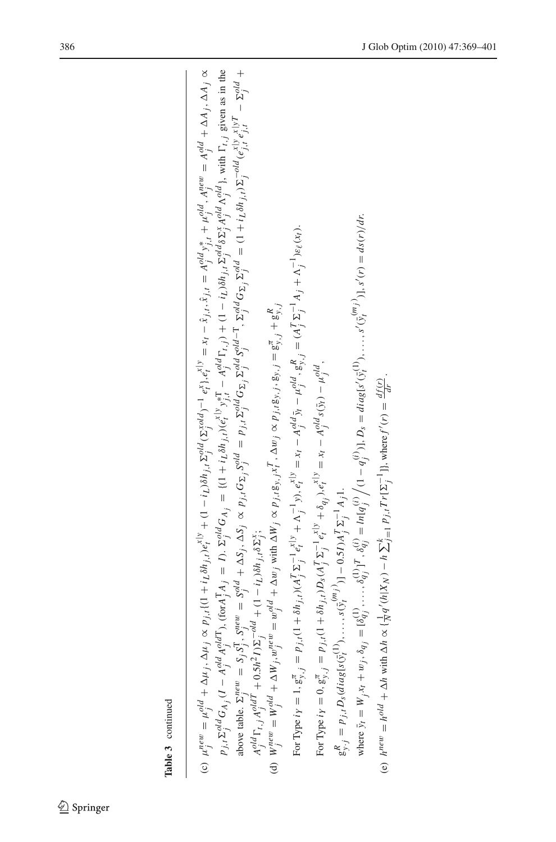$\underline{\mathrm{\mathscr{D}}}$  Springer

(c) 
$$
\mu_{ij}^{new} = \mu_{ij}^{old} + \Delta \mu_j, \Delta \mu_j \propto p_{j,t}((1 + i_L \delta h_{j,t})e_i^{x|y} + (1 - i_L)\delta h_{j,t} \Sigma_i^{old} \Sigma_i^{zold} - 1 e_i^{x}|_{y_{j,t}^{x}} - \Delta_{j,t}^{x} \hat{x}_{j,t} + \mu_{ij}^{old} \Delta_{j,t}^{new} - \Delta A_{j}, \Delta A_{j} \propto p_{j,t}^{new} = \mu_{ij}^{old} \Delta_{j,t}^{old} \sum_{i,j} (for A_{j}^{T} A_{j} = I). \Sigma_i^{old} \Delta_{A_{j}} = \{ (1 + i_L \delta h_{j,t}) (e_i^{xy})_{y_{j,t}^{x}}^{x|y} - \Delta_{ij}^{old} \Delta_{j,t}^{x} \Delta_{j,t}^{old} \Delta_{j,t}^{x} \Delta_{j,t}^{old} \Delta_{j,t}^{old} \Delta_{j,t}^{old} \Delta_{j,t}^{old} \Delta_{j,t}^{old} \Delta_{j,t}^{old} \Delta_{j,t}^{old} \Delta_{j,t}^{old} \Delta_{j,t}^{old} \Delta_{j,t}^{old} \Delta_{j,t}^{old} \Delta_{j,t}^{old} \Delta_{j,t}^{old} \Delta_{j,t}^{old} \Delta_{j,t}^{old} \Delta_{j,t}^{old} \Delta_{j,t}^{old} \Delta_{j,t}^{old} \Delta_{j,t}^{old} \Delta_{j,t}^{old} \Delta_{j,t}^{old} \Delta_{j,t}^{old} \Delta_{j,t}^{old} \Delta_{j,t}^{old} \Delta_{j,t}^{old} \Delta_{j,t}^{old} \Delta_{j,t}^{old} \Delta_{j,t}^{old} \Delta_{j,t}^{old} \Delta_{j,t}^{old} \Delta_{j,t}^{old} \Delta_{j,t}^{old} \Delta_{j,t}^{old} \Delta_{j,t}^{old} \Delta_{j,t}^{old} \Delta_{j,t}^{old} \Delta_{j,t}^{old} \Delta_{j,t}^{old} \Delta_{j,t}^{old} \Delta_{j,t}^{old} \Delta_{j,t}^{old} \Delta_{j,t}^{old} \Delta_{j,t}^{old} \Delta_{j,t}^{old} \Delta_{j,t}^{old} \Delta_{j,t}^{old} \Delta_{j,t}^{old} \Delta_{j,t}^{old} \Delta_{j,t}^{old} \Delta_{j,t}^{old} \Delta_{j,t}^{old} \Delta_{j,t}^{old} \Delta_{j,t}^{old
$$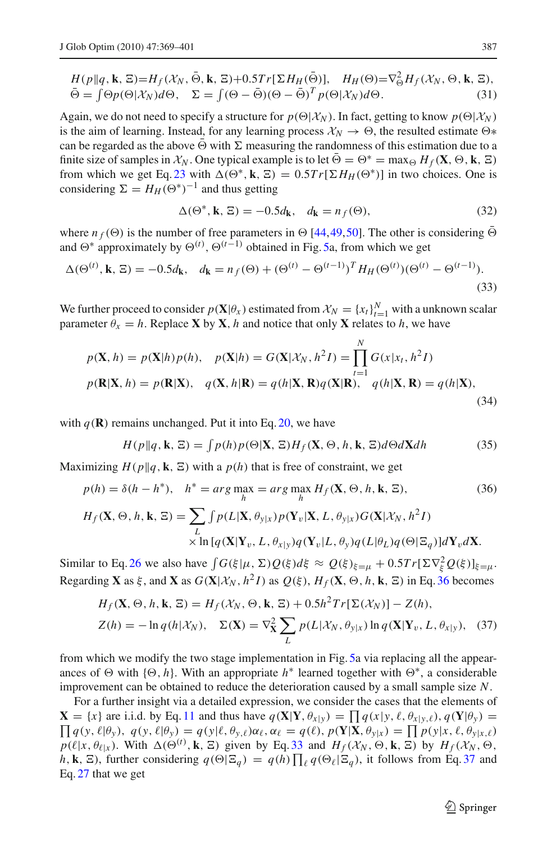$$
H(p||q, \mathbf{k}, \Xi) = H_f(\mathcal{X}_N, \bar{\Theta}, \mathbf{k}, \Xi) + 0.5Tr[\Sigma H_H(\bar{\Theta})], \quad H_H(\Theta) = \nabla_{\Theta}^2 H_f(\mathcal{X}_N, \Theta, \mathbf{k}, \Xi),
$$
  
\n
$$
\bar{\Theta} = \int \Theta p(\Theta|\mathcal{X}_N) d\Theta, \quad \Sigma = \int (\Theta - \bar{\Theta})(\Theta - \bar{\Theta})^T p(\Theta|\mathcal{X}_N) d\Theta.
$$
\n(31)

Again, we do not need to specify a structure for  $p(\Theta|\mathcal{X}_N)$ . In fact, getting to know  $p(\Theta|\mathcal{X}_N)$ is the aim of learning. Instead, for any learning process  $\mathcal{X}_N \to \Theta$ , the resulted estimate  $\Theta^*$ can be regarded as the above  $\overline{\Theta}$  with  $\Sigma$  measuring the randomness of this estimation due to a finite size of samples in  $X_N$ . One typical example is to let  $\bar{\Theta} = \Theta^* = \max_{\Theta} H_f(\mathbf{X}, \Theta, \mathbf{k}, \Xi)$ from which we get Eq. [23](#page-13-2) with  $\Delta(\Theta^*, \mathbf{k}, \Xi) = 0.5Tr[\Sigma H_H(\Theta^*)]$  in two choices. One is considering  $\Sigma = H_H(\Theta^*)^{-1}$  and thus getting

$$
\Delta(\Theta^*, \mathbf{k}, \Xi) = -0.5d_{\mathbf{k}}, \quad d_{\mathbf{k}} = n_f(\Theta), \tag{32}
$$

where  $n_f(\Theta)$  is the number of free parameters in  $\Theta$  [\[44](#page-31-15)[,49,](#page-31-19)[50](#page-31-3)]. The other is considering  $\bar{\Theta}$ and  $\Theta^*$  approximately by  $\Theta^{(t)}$ ,  $\Theta^{(t-1)}$  obtained in Fig. [5a](#page-13-0), from which we get

<span id="page-18-1"></span>
$$
\Delta(\Theta^{(t)}, \mathbf{k}, \Xi) = -0.5d_{\mathbf{k}}, \quad d_{\mathbf{k}} = n_f(\Theta) + (\Theta^{(t)} - \Theta^{(t-1)})^T H_H(\Theta^{(t)}) (\Theta^{(t)} - \Theta^{(t-1)}).
$$
\n(33)

<span id="page-18-3"></span>We further proceed to consider  $p(\mathbf{X}|\theta_x)$  estimated from  $\mathcal{X}_N = \{x_t\}_{t=1}^N$  with a unknown scalar parameter  $\theta_x = h$ . Replace **X** by **X**, *h* and notice that only **X** relates to *h*, we have

$$
p(\mathbf{X}, h) = p(\mathbf{X}|h)p(h), \quad p(\mathbf{X}|h) = G(\mathbf{X}|\mathcal{X}_N, h^2I) = \prod_{t=1}^N G(x|x_t, h^2I)
$$
  

$$
p(\mathbf{R}|\mathbf{X}, h) = p(\mathbf{R}|\mathbf{X}), \quad q(\mathbf{X}, h|\mathbf{R}) = q(h|\mathbf{X}, \mathbf{R})q(\mathbf{X}|\mathbf{R}), \quad q(h|\mathbf{X}, \mathbf{R}) = q(h|\mathbf{X}), \tag{34}
$$

with  $q(\mathbf{R})$  remains unchanged. Put it into Eq. [20,](#page-12-2) we have

$$
H(p||q, \mathbf{k}, \Xi) = \int p(h)p(\Theta|\mathbf{X}, \Xi)H_f(\mathbf{X}, \Theta, h, \mathbf{k}, \Xi)d\Theta d\mathbf{X} dh
$$
 (35)

<span id="page-18-0"></span>Maximizing  $H(p||q, \mathbf{k}, \Xi)$  with a  $p(h)$  that is free of constraint, we get

$$
p(h) = \delta(h - h^*), \quad h^* = \arg\max_{h} = \arg\max_{h} H_f(\mathbf{X}, \Theta, h, \mathbf{k}, \Xi),
$$
(36)  

$$
H_f(\mathbf{X}, \Theta, h, \mathbf{k}, \Xi) = \sum_{L} \int p(L|\mathbf{X}, \theta_{y|x}) p(\mathbf{Y}_v | \mathbf{X}, L, \theta_{y|x}) G(\mathbf{X} | \mathcal{X}_N, h^2 I)
$$
  

$$
\times \ln [q(\mathbf{X} | \mathbf{Y}_v, L, \theta_{x|y}) q(\mathbf{Y}_v | L, \theta_y) q(L | \theta_L) q(\Theta | \Xi_q)] d\mathbf{Y}_v d\mathbf{X}.
$$

<span id="page-18-2"></span>Similar to Eq. [26](#page-15-1) we also have  $\int G(\xi|\mu, \Sigma)Q(\xi)d\xi \approx Q(\xi)_{\xi=\mu} + 0.5Tr[\Sigma \nabla_{\xi}^{2}Q(\xi)]_{\xi=\mu}$ . Regarding **X** as  $\xi$ , and **X** as  $G(X|\mathcal{X}_N, h^2I)$  as  $Q(\xi)$ ,  $H_f(\mathbf{X}, \Theta, h, \mathbf{k}, \Xi)$  in Eq. [36](#page-18-0) becomes

$$
H_f(\mathbf{X}, \Theta, h, \mathbf{k}, \Xi) = H_f(\mathcal{X}_N, \Theta, \mathbf{k}, \Xi) + 0.5h^2 Tr[\Sigma(\mathcal{X}_N)] - Z(h),
$$
  
\n
$$
Z(h) = -\ln q(h|\mathcal{X}_N), \quad \Sigma(\mathbf{X}) = \nabla_{\mathbf{X}}^2 \sum_{L} p(L|\mathcal{X}_N, \theta_{y|x}) \ln q(\mathbf{X}|\mathbf{Y}_v, L, \theta_{x|y}), \quad (37)
$$

from which we modify the two stage implementation in Fig. [5a](#page-13-0) via replacing all the appearances of  $\Theta$  with { $\Theta$ , *h*}. With an appropriate *h*<sup>∗</sup> learned together with  $\Theta^*$ , a considerable improvement can be obtained to reduce the deterioration caused by a small sample size *N*.

For a further insight via a detailed expression, we consider the cases that the elements of  $\mathbf{X} = \{x\}$  are i.i.d. by Eq. [11](#page-7-2) and thus have  $q(\mathbf{X}|\mathbf{Y}, \theta_{x|y}) = \prod q(x|y, \ell, \theta_{x|y,\ell}), q(\mathbf{Y}|\theta_{y}) = \prod q(x|y, \ell, \theta_{x|y,\ell})$  $\prod q(y, \ell | \theta_y)$ ,  $q(y, \ell | \theta_y) = q(y | \ell, \theta_{y, \ell}) \alpha_\ell, \alpha_\ell = q(\ell), p(\mathbf{Y} | \mathbf{X}, \theta_{y | x}) = \prod p(y | x, \ell, \theta_{y | x, \ell})$  $p(\ell|x, \theta_{\ell|x})$ . With  $\Delta(\Theta^{(t)}, \mathbf{k}, \Xi)$  given by Eq. [33](#page-18-1) and  $H_f(\mathcal{X}_N, \Theta, \mathbf{k}, \Xi)$  by  $H_f(\mathcal{X}_N, \Theta, \Xi)$  $h, k, \Xi$ ), further considering  $q(\Theta | \Xi_q) = q(h) \prod_{\ell} q(\Theta_{\ell} | \Xi_q)$ , it follows from Eq. [37](#page-18-2) and Eq. [27](#page-15-0) that we get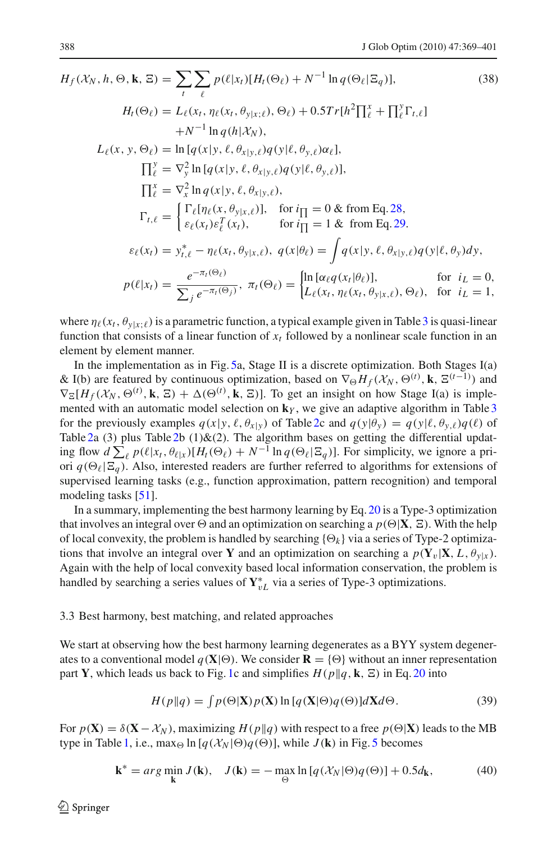<span id="page-19-3"></span>
$$
H_f(\mathcal{X}_N, h, \Theta, \mathbf{k}, \Sigma) = \sum_{t} \sum_{\ell} p(\ell | x_t) [H_t(\Theta_{\ell}) + N^{-1} \ln q(\Theta_{\ell} | \Sigma_q)], \qquad (38)
$$
  
\n
$$
H_t(\Theta_{\ell}) = L_{\ell}(x_t, \eta_{\ell}(x_t, \theta_{y|x;\ell}), \Theta_{\ell}) + 0.5Tr[h^2 \prod_{\ell}^x + \prod_{\ell}^y \Gamma_{t,\ell}] + N^{-1} \ln q(h|\mathcal{X}_N),
$$
  
\n
$$
L_{\ell}(x, y, \Theta_{\ell}) = \ln [q(x|y, \ell, \theta_{x|y,\ell}) q(y|\ell, \theta_{y,\ell}) \alpha_{\ell}],
$$
  
\n
$$
\prod_{\ell}^y = \nabla_y^2 \ln [q(x|y, \ell, \theta_{x|y,\ell}) q(y|\ell, \theta_{y,\ell})],
$$
  
\n
$$
\prod_{\ell}^x = \nabla_x^2 \ln q(x|y, \ell, \theta_{x|y,\ell}),
$$
  
\n
$$
\Gamma_{t,\ell} = \begin{cases} \Gamma_{\ell}[\eta_{\ell}(x, \theta_{y|x,\ell})], & \text{for } i = 0 \text{ & \text{from Eq. 28},} \\ \epsilon_{\ell}(x_t) \epsilon_{\ell}^T(x_t), & \text{for } i = 1 \text{ & \text{from Eq. 29}.} \end{cases}
$$
  
\n
$$
\epsilon_{\ell}(x_t) = y_{t,\ell}^* - \eta_{\ell}(x_t, \theta_{y|x,\ell}), q(x|\theta_{\ell}) = \int q(x|y, \ell, \theta_{x|y,\ell}) q(y|\ell, \theta_{y}) dy,
$$
  
\n
$$
p(\ell|x_t) = \frac{e^{-\pi_t(\Theta_{\ell})}}{\sum_{j} e^{-\pi_t(\Theta_{j})}}, \pi_t(\Theta_{\ell}) = \begin{cases} \ln [\alpha_{\ell} q(x_t|\theta_{\ell})], & \text{for } i = 0, \\ L_{\ell}(x_t, \eta_{\ell}(x_t, \theta_{y|x,\ell}), \Theta_{\ell}), & \text{for } i = 1, \end{cases}
$$

where  $\eta_{\ell}(x_t, \theta_{\nu|x;\ell})$  is a parametric function, a typical example given in Table [3](#page-16-0) is quasi-linear function that consists of a linear function of *xt* followed by a nonlinear scale function in an element by element manner.

In the implementation as in Fig. [5a](#page-13-0), Stage II is a discrete optimization. Both Stages I(a) & I(b) are featured by continuous optimization, based on  $\nabla_{\Theta} H_f(\mathcal{X}_N, \Theta^{(t)}, \mathbf{k}, \Xi^{(t-1)})$  and  $\nabla_{\Xi} [H_f(\mathcal{X}_N, \Theta^{(t)}, \mathbf{k}, \Xi) + \Delta(\Theta^{(t)}, \mathbf{k}, \Xi)]$ . To get an insight on how Stage I(a) is implemented with an automatic model selection on  $\mathbf{k}_y$ , we give an adaptive algorithm in Table [3](#page-16-0) for the previously examples  $q(x|y, \ell, \theta_{x|y})$  of Table [2c](#page-6-0) and  $q(y|\theta_y) = q(y|\ell, \theta_{y,\ell})q(\ell)$  of Table [2a](#page-6-0) (3) plus Table [2b](#page-6-0) (1) $\&$  (2). The algorithm bases on getting the differential updating flow  $d \sum_{\ell} p(\ell | x_t, \theta_{\ell | x}) [H_t(\Theta_{\ell}) + N^{-1} \ln q(\Theta_{\ell} | \Xi_q)]$ . For simplicity, we ignore a priori  $q(\Theta_\ell | \Xi_a)$ . Also, interested readers are further referred to algorithms for extensions of supervised learning tasks (e.g., function approximation, pattern recognition) and temporal modeling tasks [\[51](#page-31-20)].

In a summary, implementing the best harmony learning by Eq. [20](#page-12-2) is a Type-3 optimization that involves an integral over  $\Theta$  and an optimization on searching a  $p(\Theta|X, \Xi)$ . With the help of local convexity, the problem is handled by searching  $\{\Theta_k\}$  via a series of Type-2 optimizations that involve an integral over **Y** and an optimization on searching a  $p(Y_v|\mathbf{X}, L, \theta_{v|x})$ . Again with the help of local convexity based local information conservation, the problem is handled by searching a series values of  $\mathbf{Y}_{vL}^*$  via a series of Type-3 optimizations.

# <span id="page-19-0"></span>3.3 Best harmony, best matching, and related approaches

We start at observing how the best harmony learning degenerates as a BYY system degenerates to a conventional model  $q(\mathbf{X}|\Theta)$ . We consider  $\mathbf{R} = \{\Theta\}$  without an inner representation part **Y**, which leads us back to Fig. [1c](#page-1-0) and simplifies  $H(p||q, \mathbf{k}, \Xi)$  in Eq. [20](#page-12-2) into

$$
H(p||q) = \int p(\Theta|\mathbf{X})p(\mathbf{X})\ln[q(\mathbf{X}|\Theta)q(\Theta)]d\mathbf{X}d\Theta.
$$
 (39)

<span id="page-19-1"></span>For  $p(\mathbf{X}) = \delta(\mathbf{X} - \mathcal{X}_N)$ , maximizing  $H(p||q)$  with respect to a free  $p(\Theta|\mathbf{X})$  leads to the MB type in Table [1,](#page-2-0) i.e., max $_{\Theta}$  ln [ $q(\mathcal{X}_N|\Theta)q(\Theta)$ ], while  $J(\mathbf{k})$  in Fig. [5](#page-13-0) becomes

$$
\mathbf{k}^* = \arg\min_{\mathbf{k}} J(\mathbf{k}), \quad J(\mathbf{k}) = -\max_{\Theta} \ln \left[ q(\mathcal{X}_N | \Theta) q(\Theta) \right] + 0.5 d_{\mathbf{k}}, \tag{40}
$$

<span id="page-19-2"></span> $\circledcirc$  Springer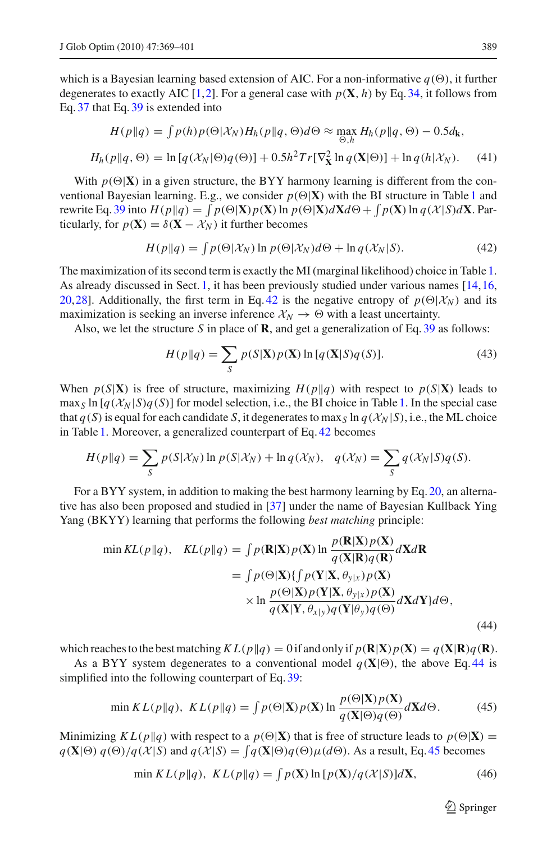which is a Bayesian learning based extension of AIC. For a non-informative  $q(\Theta)$ , it further degenerates to exactly AIC [\[1](#page-30-10),[2](#page-30-11)]. For a general case with  $p(X, h)$  by Eq. [34,](#page-18-3) it follows from Eq. [37](#page-18-2) that Eq. [39](#page-19-1) is extended into

$$
H(p||q) = \int p(h)p(\Theta|\mathcal{X}_N)H_h(p||q, \Theta)d\Theta \approx \max_{\Theta, h} H_h(p||q, \Theta) - 0.5d_k,
$$
  

$$
H_h(p||q, \Theta) = \ln [q(\mathcal{X}_N|\Theta)q(\Theta)] + 0.5h^2 Tr[\nabla_{\mathbf{X}}^2 \ln q(\mathbf{X}|\Theta)] + \ln q(h|\mathcal{X}_N).
$$
 (41)

With  $p(\Theta|\mathbf{X})$  in a given structure, the BYY harmony learning is different from the conventional Bayesian learning. E.g., we consider  $p(\Theta|\mathbf{X})$  with the BI structure in Table [1](#page-2-0) and rewrite Eq. [39](#page-19-1) into  $H(p||q) = \int p(\Theta|\mathbf{X})p(\mathbf{X}) \ln p(\Theta|\mathbf{X})d\mathbf{X}d\Theta + \int p(\mathbf{X}) \ln q(\mathcal{X}|S)d\mathbf{X}$ . Particularly, for  $p(X) = \delta(X - X_N)$  it further becomes

$$
H(p||q) = \int p(\Theta|\mathcal{X}_N) \ln p(\Theta|\mathcal{X}_N) d\Theta + \ln q(\mathcal{X}_N|S). \tag{42}
$$

<span id="page-20-0"></span>The maximization of its second term is exactly the MI (marginal likelihood) choice in Table [1.](#page-2-0) As already discussed in Sect. [1,](#page-0-0) it has been previously studied under various names [\[14](#page-30-8)[,16,](#page-30-9) [20,](#page-30-7)[28](#page-31-11)]. Additionally, the first term in Eq. [42](#page-20-0) is the negative entropy of  $p(\Theta|\mathcal{X}_N)$  and its maximization is seeking an inverse inference  $X_N \to \Theta$  with a least uncertainty.

Also, we let the structure *S* in place of **R**, and get a generalization of Eq. [39](#page-19-1) as follows:

$$
H(p||q) = \sum_{S} p(S|\mathbf{X})p(\mathbf{X})\ln[q(\mathbf{X}|S)q(S)].
$$
\n(43)

When  $p(S|\mathbf{X})$  is free of structure, maximizing  $H(p||q)$  with respect to  $p(S|\mathbf{X})$  leads to max<sub>*S*</sub> ln  $[q(\mathcal{X}_N|S)q(S)]$  for model selection, i.e., the BI choice in Table [1.](#page-2-0) In the special case that *q*(*S*) is equal for each candidate *S*, it degenerates to max<sub>*S*</sub> ln *q*( $\mathcal{X}_N$ |*S*), i.e., the ML choice in Table [1.](#page-2-0) Moreover, a generalized counterpart of Eq. [42](#page-20-0) becomes

$$
H(p||q) = \sum_{S} p(S|\mathcal{X}_N) \ln p(S|\mathcal{X}_N) + \ln q(\mathcal{X}_N), \quad q(\mathcal{X}_N) = \sum_{S} q(\mathcal{X}_N|S)q(S).
$$

<span id="page-20-1"></span>For a BYY system, in addition to making the best harmony learning by Eq. [20,](#page-12-2) an alternative has also been proposed and studied in [\[37\]](#page-31-2) under the name of Bayesian Kullback Ying Yang (BKYY) learning that performs the following *best matching* principle:

$$
\min KL(p||q), \quad KL(p||q) = \int p(\mathbf{R}|\mathbf{X})p(\mathbf{X}) \ln \frac{p(\mathbf{R}|\mathbf{X})p(\mathbf{X})}{q(\mathbf{X}|\mathbf{R})q(\mathbf{R})} d\mathbf{X} d\mathbf{R}
$$

$$
= \int p(\Theta|\mathbf{X}) \{ \int p(\mathbf{Y}|\mathbf{X}, \theta_{y|x}) p(\mathbf{X})
$$

$$
\times \ln \frac{p(\Theta|\mathbf{X})p(\mathbf{Y}|\mathbf{X}, \theta_{y|x})p(\mathbf{X})}{q(\mathbf{X}|\mathbf{Y}, \theta_{x|y})q(\mathbf{Y}|\theta_{y})q(\Theta)} d\mathbf{X} d\mathbf{Y} \} d\Theta,
$$
(44)

which reaches to the best matching  $KL(p||q) = 0$  if and only if  $p(\mathbf{R}|\mathbf{X})p(\mathbf{X}) = q(\mathbf{X}|\mathbf{R})q(\mathbf{R})$ .

As a BYY system degenerates to a conventional model  $q(\mathbf{X}|\Theta)$ , the above Eq. [44](#page-20-1) is simplified into the following counterpart of Eq. [39:](#page-19-1)

$$
\min KL(p||q), KL(p||q) = \int p(\Theta|\mathbf{X})p(\mathbf{X}) \ln \frac{p(\Theta|\mathbf{X})p(\mathbf{X})}{q(\mathbf{X}|\Theta)q(\Theta)} d\mathbf{X} d\Theta.
$$
 (45)

<span id="page-20-3"></span><span id="page-20-2"></span>Minimizing  $KL(p||q)$  with respect to a  $p(\Theta|\mathbf{X})$  that is free of structure leads to  $p(\Theta|\mathbf{X}) =$  $q(X|\Theta) q(\Theta)/q(X|S)$  and  $q(X|S) = \int q(X|\Theta)q(\Theta)\mu(d\Theta)$ . As a result, Eq. [45](#page-20-2) becomes

$$
\min KL(p||q), KL(p||q) = \int p(\mathbf{X}) \ln [p(\mathbf{X})/q(\mathcal{X}|S)]d\mathbf{X},\tag{46}
$$

 $\circled{2}$  Springer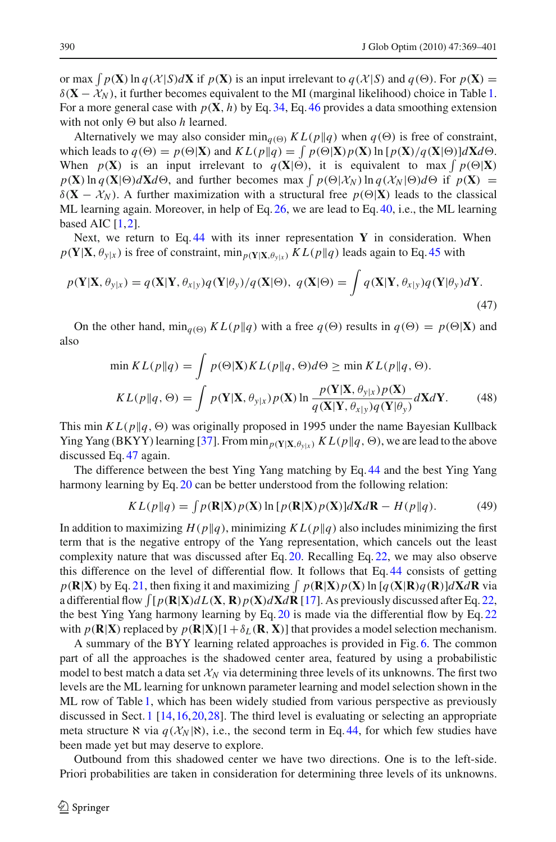or max  $\int p(\mathbf{X}) \ln q(\mathcal{X}|S) d\mathbf{X}$  if  $p(\mathbf{X})$  is an input irrelevant to  $q(\mathcal{X}|S)$  and  $q(\Theta)$ . For  $p(\mathbf{X}) =$  $\delta(\mathbf{X} - \mathcal{X}_N)$ , it further becomes equivalent to the MI (marginal likelihood) choice in Table [1.](#page-2-0) For a more general case with  $p(X, h)$  by Eq. [34,](#page-18-3) Eq. [46](#page-20-3) provides a data smoothing extension with not only  $\Theta$  but also *h* learned.

Alternatively we may also consider  $\min_{q(\Theta)} KL(p||q)$  when  $q(\Theta)$  is free of constraint, which leads to  $q(\Theta) = p(\Theta|\mathbf{X})$  and  $KL(p||q) = \int p(\Theta|\mathbf{X})p(\mathbf{X})\ln[p(\mathbf{X})/q(\mathbf{X}|\Theta)]d\mathbf{X}d\Theta$ . When  $p(X)$  is an input irrelevant to  $q(X|\Theta)$ , it is equivalent to max  $\int p(\Theta|X)$  $p(\mathbf{X}) \ln q(\mathbf{X}|\Theta) d\mathbf{X} d\Theta$ , and further becomes max  $\int p(\Theta|\mathcal{X}_N) \ln q(\mathcal{X}_N|\Theta) d\Theta$  if  $p(\mathbf{X}) =$  $\delta$ (**X** − *X<sub>N</sub>*). A further maximization with a structural free *p*( $\Theta$ |**X**) leads to the classical ML learning again. Moreover, in help of Eq. [26,](#page-15-1) we are lead to Eq. [40,](#page-19-2) i.e., the ML learning based AIC [\[1,](#page-30-10)[2](#page-30-11)].

Next, we return to Eq. [44](#page-20-1) with its inner representation **Y** in consideration. When  $p(Y|X, \theta_{y|x})$  is free of constraint,  $\min_{p(Y|X, \theta_{y|x})} KL(p||q)$  leads again to Eq. [45](#page-20-2) with

<span id="page-21-0"></span>
$$
p(\mathbf{Y}|\mathbf{X}, \theta_{y|x}) = q(\mathbf{X}|\mathbf{Y}, \theta_{x|y})q(\mathbf{Y}|\theta_{y})/q(\mathbf{X}|\Theta), \ q(\mathbf{X}|\Theta) = \int q(\mathbf{X}|\mathbf{Y}, \theta_{x|y})q(\mathbf{Y}|\theta_{y})d\mathbf{Y}.
$$
\n(47)

<span id="page-21-1"></span>On the other hand,  $\min_{q(\Theta)} KL(p||q)$  with a free  $q(\Theta)$  results in  $q(\Theta) = p(\Theta|\mathbf{X})$  and also

$$
\min KL(p||q) = \int p(\Theta|\mathbf{X}) KL(p||q, \Theta) d\Theta \ge \min KL(p||q, \Theta).
$$
  

$$
KL(p||q, \Theta) = \int p(\mathbf{Y}|\mathbf{X}, \theta_{y|x}) p(\mathbf{X}) \ln \frac{p(\mathbf{Y}|\mathbf{X}, \theta_{y|x}) p(\mathbf{X})}{q(\mathbf{X}|\mathbf{Y}, \theta_{x|y}) q(\mathbf{Y}|\theta_{y})} d\mathbf{X} d\mathbf{Y}.
$$
 (48)

This min  $KL(p||q, \Theta)$  was originally proposed in 1995 under the name Bayesian Kullback Ying Yang (BKYY) learning [\[37](#page-31-2)]. From  $\min_{p(Y|X,\theta_{y|x})} KL(p||q, \Theta)$ , we are lead to the above discussed Eq. [47](#page-21-0) again.

The difference between the best Ying Yang matching by Eq. [44](#page-20-1) and the best Ying Yang harmony learning by Eq. [20](#page-12-2) can be better understood from the following relation:

$$
KL(p||q) = \int p(\mathbf{R}|\mathbf{X})p(\mathbf{X})\ln[p(\mathbf{R}|\mathbf{X})p(\mathbf{X})]d\mathbf{X}d\mathbf{R} - H(p||q).
$$
 (49)

In addition to maximizing  $H(p||q)$ , minimizing  $KL(p||q)$  also includes minimizing the first term that is the negative entropy of the Yang representation, which cancels out the least complexity nature that was discussed after Eq. [20.](#page-12-2) Recalling Eq. [22,](#page-13-1) we may also observe this difference on the level of differential flow. It follows that Eq. [44](#page-20-1) consists of getting  $p(\mathbf{R}|\mathbf{X})$  by Eq. [21,](#page-12-1) then fixing it and maximizing  $\int p(\mathbf{R}|\mathbf{X})p(\mathbf{X}) \ln [q(\mathbf{X}|\mathbf{R})q(\mathbf{R})]d\mathbf{X}d\mathbf{R}$  via a differential flow  $\int [p(\mathbf{R}|\mathbf{X})dL(\mathbf{X}, \mathbf{R})p(\mathbf{X})d\mathbf{X}d\mathbf{R}$  [\[17](#page-30-14)]. As previously discussed after Eq. [22,](#page-13-1) the best Ying Yang harmony learning by Eq. [20](#page-12-2) is made via the differential flow by Eq. [22](#page-13-1) with  $p(\mathbf{R}|\mathbf{X})$  replaced by  $p(\mathbf{R}|\mathbf{X})[1+\delta_L(\mathbf{R},\mathbf{X})]$  that provides a model selection mechanism.

A summary of the BYY learning related approaches is provided in Fig. [6.](#page-22-0) The common part of all the approaches is the shadowed center area, featured by using a probabilistic model to best match a data set  $\mathcal{X}_N$  via determining three levels of its unknowns. The first two levels are the ML learning for unknown parameter learning and model selection shown in the ML row of Table [1,](#page-2-0) which has been widely studied from various perspective as previously discussed in Sect. [1](#page-0-0) [\[14](#page-30-8)[,16,](#page-30-9)[20](#page-30-7)[,28\]](#page-31-11). The third level is evaluating or selecting an appropriate meta structure  $\aleph$  via  $q(\mathcal{X}_N|\aleph)$ , i.e., the second term in Eq. [44,](#page-20-1) for which few studies have been made yet but may deserve to explore.

Outbound from this shadowed center we have two directions. One is to the left-side. Priori probabilities are taken in consideration for determining three levels of its unknowns.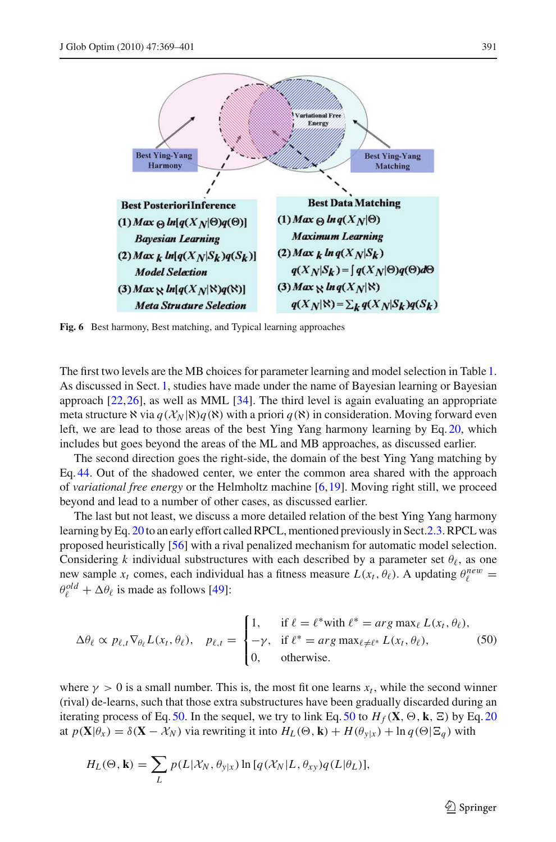

<span id="page-22-0"></span>**Fig. 6** Best harmony, Best matching, and Typical learning approaches

The first two levels are the MB choices for parameter learning and model selection in Table [1.](#page-2-0) As discussed in Sect. [1,](#page-0-0) studies have made under the name of Bayesian learning or Bayesian approach [\[22](#page-30-0)[,26\]](#page-30-1), as well as MML [\[34\]](#page-31-0). The third level is again evaluating an appropriate meta structure  $\aleph$  via  $q(\mathcal{X}_N|\aleph)q(\aleph)$  with a priori  $q(\aleph)$  in consideration. Moving forward even left, we are lead to those areas of the best Ying Yang harmony learning by Eq. [20,](#page-12-2) which includes but goes beyond the areas of the ML and MB approaches, as discussed earlier.

The second direction goes the right-side, the domain of the best Ying Yang matching by Eq. [44.](#page-20-1) Out of the shadowed center, we enter the common area shared with the approach of *variational free energy* or the Helmholtz machine [\[6](#page-30-3)[,19](#page-30-15)]. Moving right still, we proceed beyond and lead to a number of other cases, as discussed earlier.

The last but not least, we discuss a more detailed relation of the best Ying Yang harmony learning by Eq. [20](#page-12-2) to an early effort called RPCL, mentioned previously in Sect[.2.3.](#page-9-2) RPCL was proposed heuristically [\[56\]](#page-32-0) with a rival penalized mechanism for automatic model selection. Considering *k* individual substructures with each described by a parameter set  $\theta_{\ell}$ , as one new sample  $x_t$  comes, each individual has a fitness measure  $L(x_t, \theta_\ell)$ . A updating  $\theta_\ell^{new} =$  $\theta_{\ell}^{old} + \Delta \theta_{\ell}$  is made as follows [\[49](#page-31-19)]:

$$
\Delta \theta_{\ell} \propto p_{\ell,t} \nabla_{\theta_{\ell}} L(x_t, \theta_{\ell}), \quad p_{\ell,t} = \begin{cases} 1, & \text{if } \ell = \ell^* \text{with } \ell^* = \arg \max_{\ell} L(x_t, \theta_{\ell}), \\ -\gamma, & \text{if } \ell^* = \arg \max_{\ell \neq \ell^*} L(x_t, \theta_{\ell}), \\ 0, & \text{otherwise.} \end{cases} \tag{50}
$$

<span id="page-22-1"></span>where  $\gamma > 0$  is a small number. This is, the most fit one learns  $x_t$ , while the second winner (rival) de-learns, such that those extra substructures have been gradually discarded during an iterating process of Eq. [50.](#page-22-1) In the sequel, we try to link Eq. [50](#page-22-1) to  $H_f(\mathbf{X}, \Theta, \mathbf{k}, \Xi)$  by Eq. [20](#page-12-2) at  $p(\mathbf{X}|\theta_x) = \delta(\mathbf{X} - \mathcal{X}_N)$  via rewriting it into  $H_L(\Theta, \mathbf{k}) + H(\theta_{\nu|x}) + \ln q(\Theta | \Xi_a)$  with

$$
H_L(\Theta, \mathbf{k}) = \sum_L p(L|\mathcal{X}_N, \theta_{y|x}) \ln [q(\mathcal{X}_N|L, \theta_{xy}) q(L|\theta_L)],
$$

 $\circled{2}$  Springer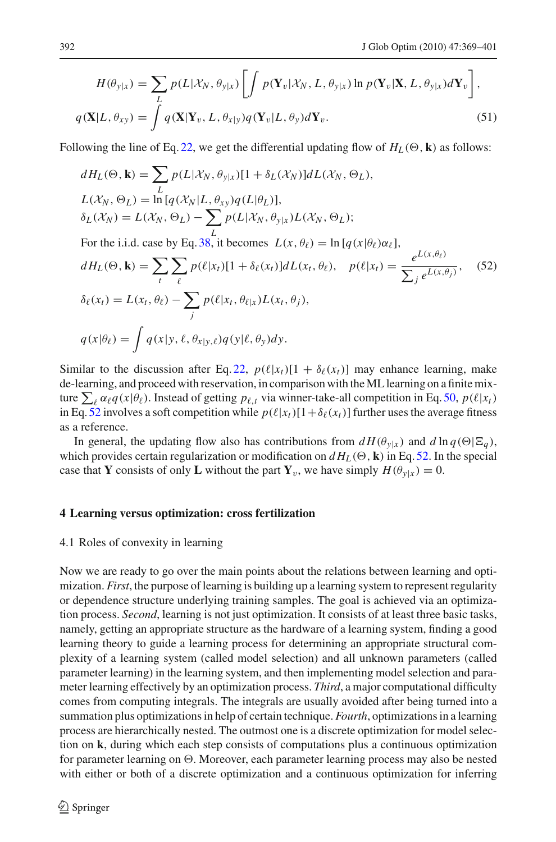$$
H(\theta_{y|x}) = \sum_{L} p(L|\mathcal{X}_N, \theta_{y|x}) \left[ \int p(\mathbf{Y}_v|\mathcal{X}_N, L, \theta_{y|x}) \ln p(\mathbf{Y}_v|\mathbf{X}, L, \theta_{y|x}) d\mathbf{Y}_v \right],
$$
  

$$
q(\mathbf{X}|L, \theta_{xy}) = \int q(\mathbf{X}|\mathbf{Y}_v, L, \theta_{x|y}) q(\mathbf{Y}_v|L, \theta_y) d\mathbf{Y}_v.
$$
 (51)

<span id="page-23-2"></span>Following the line of Eq. [22,](#page-13-1) we get the differential updating flow of  $H_L(\Theta, \mathbf{k})$  as follows:

$$
dH_L(\Theta, \mathbf{k}) = \sum_{L} p(L|\mathcal{X}_N, \theta_{y|x})[1 + \delta_L(\mathcal{X}_N)]dL(\mathcal{X}_N, \Theta_L),
$$
  
\n
$$
L(\mathcal{X}_N, \Theta_L) = \ln [q(\mathcal{X}_N|L, \theta_{xy})q(L|\theta_L)],
$$
  
\n
$$
\delta_L(\mathcal{X}_N) = L(\mathcal{X}_N, \Theta_L) - \sum_{L} p(L|\mathcal{X}_N, \theta_{y|x})L(\mathcal{X}_N, \Theta_L);
$$
  
\nFor the i.i.d. case by Eq. 38, it becomes  $L(x, \theta_\ell) = \ln [q(x|\theta_\ell)\alpha_\ell],$   
\n
$$
dH_L(\Theta, \mathbf{k}) = \sum_{t} \sum_{\ell} p(\ell|x_t)[1 + \delta_\ell(x_t)]dL(x_t, \theta_\ell), \quad p(\ell|x_t) = \frac{e^{L(x, \theta_\ell)}}{\sum_{j} e^{L(x, \theta_j)}}, \quad (52)
$$
  
\n
$$
\delta_\ell(x_t) = L(x_t, \theta_\ell) - \sum_{j} p(\ell|x_t, \theta_{\ell|x})L(x_t, \theta_j),
$$
  
\n
$$
q(x|\theta_\ell) = \int q(x|y, \ell, \theta_{x|y,\ell})q(y|\ell, \theta_y)dy.
$$

Similar to the discussion after Eq. [22,](#page-13-1)  $p(\ell|x_t)[1 + \delta_\ell(x_t)]$  may enhance learning, make de-learning, and proceed with reservation, in comparison with the ML learning on a finite mixture  $\sum_{\ell} \alpha_{\ell} q(x|\theta_{\ell})$ . Instead of getting  $p_{\ell,t}$  via winner-take-all competition in Eq. [50,](#page-22-1)  $p(\ell|x_t)$ in Eq. [52](#page-23-2) involves a soft competition while  $p(\ell|x_t)[1+\delta_{\ell}(x_t)]$  further uses the average fitness as a reference.

In general, the updating flow also has contributions from  $dH(\theta_{y|x})$  and  $d\ln q(\Theta|\Xi_a)$ , which provides certain regularization or modification on  $dH_L(\Theta, \mathbf{k})$  in Eq. [52.](#page-23-2) In the special case that **Y** consists of only **L** without the part  $\mathbf{Y}_v$ , we have simply  $H(\theta_{y|x}) = 0$ .

# <span id="page-23-1"></span>**4 Learning versus optimization: cross fertilization**

# <span id="page-23-0"></span>4.1 Roles of convexity in learning

Now we are ready to go over the main points about the relations between learning and optimization. *First*, the purpose of learning is building up a learning system to represent regularity or dependence structure underlying training samples. The goal is achieved via an optimization process. *Second*, learning is not just optimization. It consists of at least three basic tasks, namely, getting an appropriate structure as the hardware of a learning system, finding a good learning theory to guide a learning process for determining an appropriate structural complexity of a learning system (called model selection) and all unknown parameters (called parameter learning) in the learning system, and then implementing model selection and parameter learning effectively by an optimization process. *Third*, a major computational difficulty comes from computing integrals. The integrals are usually avoided after being turned into a summation plus optimizations in help of certain technique. *Fourth*, optimizations in a learning process are hierarchically nested. The outmost one is a discrete optimization for model selection on **k**, during which each step consists of computations plus a continuous optimization for parameter learning on  $\Theta$ . Moreover, each parameter learning process may also be nested with either or both of a discrete optimization and a continuous optimization for inferring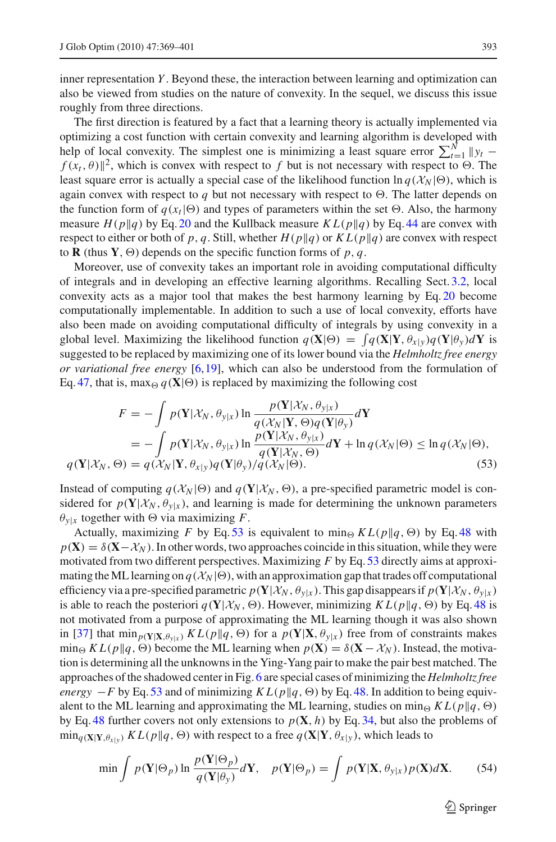inner representation *Y* . Beyond these, the interaction between learning and optimization can also be viewed from studies on the nature of convexity. In the sequel, we discuss this issue roughly from three directions.

The first direction is featured by a fact that a learning theory is actually implemented via optimizing a cost function with certain convexity and learning algorithm is developed with help of local convexity. The simplest one is minimizing a least square error  $\sum_{t=1}^{N} ||y_t - y_t||$  $f(x_t, \theta)$ <sup>2</sup>, which is convex with respect to *f* but is not necessary with respect to  $\Theta$ . The least square error is actually a special case of the likelihood function  $\ln q(\mathcal{X}_N|\Theta)$ , which is again convex with respect to q but not necessary with respect to  $\Theta$ . The latter depends on the function form of  $q(x_t|\Theta)$  and types of parameters within the set  $\Theta$ . Also, the harmony measure  $H(p||q)$  by Eq. [20](#page-12-2) and the Kullback measure  $KL(p||q)$  by Eq. [44](#page-20-1) are convex with respect to either or both of p, q. Still, whether  $H(p||q)$  or  $KL(p||q)$  are convex with respect to **R** (thus **Y**,  $\Theta$ ) depends on the specific function forms of *p*, *q*.

Moreover, use of convexity takes an important role in avoiding computational difficulty of integrals and in developing an effective learning algorithms. Recalling Sect. [3.2,](#page-14-2) local convexity acts as a major tool that makes the best harmony learning by Eq. [20](#page-12-2) become computationally implementable. In addition to such a use of local convexity, efforts have also been made on avoiding computational difficulty of integrals by using convexity in a global level. Maximizing the likelihood function  $q(\mathbf{X}|\Theta) = \int q(\mathbf{X}|\mathbf{Y}, \theta_{x|y}) q(\mathbf{Y}|\theta_y) d\mathbf{Y}$  is suggested to be replaced by maximizing one of its lower bound via the *Helmholtz free energy or variational free energy* [\[6](#page-30-3)[,19\]](#page-30-15), which can also be understood from the formulation of Eq. [47,](#page-21-0) that is, max $\Theta$   $q(X|\Theta)$  is replaced by maximizing the following cost

<span id="page-24-0"></span>
$$
F = -\int p(\mathbf{Y}|\mathcal{X}_N, \theta_{y|x}) \ln \frac{p(\mathbf{Y}|\mathcal{X}_N, \theta_{y|x})}{q(\mathcal{X}_N|\mathbf{Y}, \Theta)q(\mathbf{Y}|\theta_y)} d\mathbf{Y}
$$
  
\n
$$
= -\int p(\mathbf{Y}|\mathcal{X}_N, \theta_{y|x}) \ln \frac{p(\mathbf{Y}|\mathcal{X}_N, \theta_{y|x})}{q(\mathbf{Y}|\mathcal{X}_N, \Theta)} d\mathbf{Y} + \ln q(\mathcal{X}_N|\Theta) \leq \ln q(\mathcal{X}_N|\Theta),
$$
  
\n
$$
q(\mathbf{Y}|\mathcal{X}_N, \Theta) = q(\mathcal{X}_N|\mathbf{Y}, \theta_{x|y})q(\mathbf{Y}|\theta_y)/q(\mathcal{X}_N|\Theta). \tag{53}
$$

Instead of computing  $q(\mathcal{X}_N|\Theta)$  and  $q(\mathbf{Y}|\mathcal{X}_N,\Theta)$ , a pre-specified parametric model is considered for  $p(Y|\mathcal{X}_N, \theta_{y|x})$ , and learning is made for determining the unknown parameters  $\theta_{\nu|x}$  together with  $\Theta$  via maximizing *F*.

Actually, maximizing F by Eq. [53](#page-24-0) is equivalent to min<sub> $\Theta$ </sub> K  $L(p||q, \Theta)$  by Eq. [48](#page-21-1) with  $p(X) = \delta(X - X_N)$ . In other words, two approaches coincide in this situation, while they were motivated from two different perspectives. Maximizing *F* by Eq. [53](#page-24-0) directly aims at approximating the ML learning on  $q(\mathcal{X}_N|\Theta)$ , with an approximation gap that trades off computational efficiency via a pre-specified parametric  $p(Y|X_N, \theta_{y|x})$ . This gap disappears if  $p(Y|X_N, \theta_{y|x})$ is able to reach the posteriori  $q(Y|X_N, \Theta)$ . However, minimizing  $KL(p||q, \Theta)$  by Eq. [48](#page-21-1) is not motivated from a purpose of approximating the ML learning though it was also shown in [\[37](#page-31-2)] that  $\min_{p(\mathbf{Y}|\mathbf{X}, \theta_{y|x})} KL(p||q, \Theta)$  for a  $p(\mathbf{Y}|\mathbf{X}, \theta_{y|x})$  free from of constraints makes  $\min_{\Theta} KL(p||q, \Theta)$  become the ML learning when  $p(\mathbf{X}) = \delta(\mathbf{X} - \mathcal{X}_N)$ . Instead, the motivation is determining all the unknowns in the Ying-Yang pair to make the pair best matched. The approaches of the shadowed center in Fig. [6](#page-22-0) are special cases of minimizing the *Helmholtz free energy* −*F* by Eq. [53](#page-24-0) and of minimizing  $KL(p||q, \Theta)$  by Eq. [48.](#page-21-1) In addition to being equivalent to the ML learning and approximating the ML learning, studies on min<sub> $\Theta$ </sub>  $KL(p||q, \Theta)$ by Eq. [48](#page-21-1) further covers not only extensions to  $p(\mathbf{X}, h)$  by Eq. [34,](#page-18-3) but also the problems of  $\min_{q(\mathbf{X}|\mathbf{Y}, \theta_{x|y})} KL(p||q, \Theta)$  with respect to a free  $q(\mathbf{X}|\mathbf{Y}, \theta_{x|y})$ , which leads to

<span id="page-24-1"></span>
$$
\min \int p(\mathbf{Y}|\Theta_p) \ln \frac{p(\mathbf{Y}|\Theta_p)}{q(\mathbf{Y}|\theta_y)} d\mathbf{Y}, \quad p(\mathbf{Y}|\Theta_p) = \int p(\mathbf{Y}|\mathbf{X}, \theta_{y|x}) p(\mathbf{X}) d\mathbf{X}.
$$
 (54)

 $\circled{2}$  Springer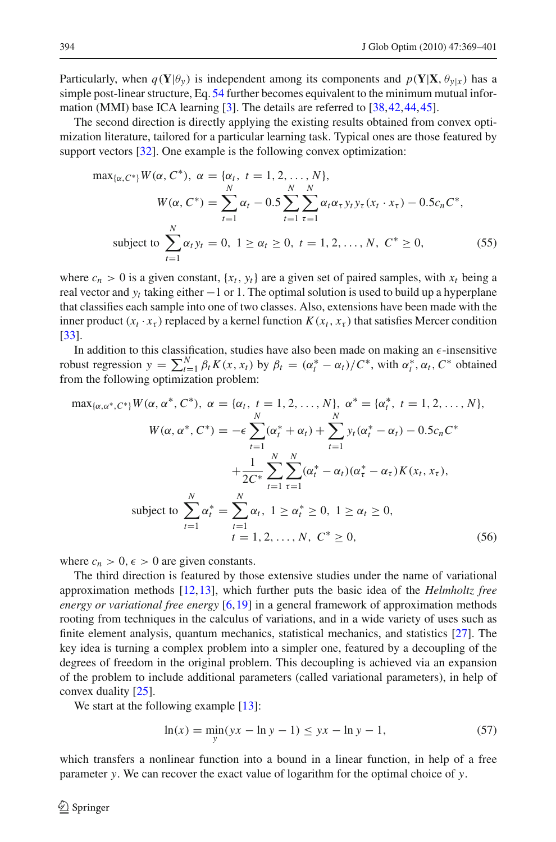Particularly, when  $q(\mathbf{Y}|\theta_v)$  is independent among its components and  $p(\mathbf{Y}|\mathbf{X}, \theta_v|_x)$  has a simple post-linear structure, Eq. [54](#page-24-1) further becomes equivalent to the minimum mutual information (MMI) base ICA learning [\[3\]](#page-30-16). The details are referred to [\[38](#page-31-21)[,42,](#page-31-5)[44](#page-31-15)[,45\]](#page-31-17).

The second direction is directly applying the existing results obtained from convex optimization literature, tailored for a particular learning task. Typical ones are those featured by support vectors [\[32](#page-31-13)]. One example is the following convex optimization:

$$
\max_{\{\alpha, C^*\}} W(\alpha, C^*), \ \alpha = \{\alpha_t, \ t = 1, 2, \dots, N\},
$$

$$
W(\alpha, C^*) = \sum_{t=1}^N \alpha_t - 0.5 \sum_{t=1}^N \sum_{\tau=1}^N \alpha_t \alpha_\tau y_t y_\tau (x_t \cdot x_\tau) - 0.5 c_n C^*,
$$
  
subject to 
$$
\sum_{t=1}^N \alpha_t y_t = 0, \ 1 \ge \alpha_t \ge 0, \ t = 1, 2, \dots, N, \ C^* \ge 0,
$$
 (55)

where  $c_n > 0$  is a given constant,  $\{x_t, y_t\}$  are a given set of paired samples, with  $x_t$  being a real vector and *yt* taking either −1 or 1. The optimal solution is used to build up a hyperplane that classifies each sample into one of two classes. Also, extensions have been made with the inner product  $(x_t \cdot x_\tau)$  replaced by a kernel function  $K(x_t, x_\tau)$  that satisfies Mercer condition [\[33\]](#page-31-22).

In addition to this classification, studies have also been made on making an  $\epsilon$ -insensitive robust regression  $y = \sum_{t=1}^{N} \beta_t K(x, x_t)$  by  $\beta_t = (\alpha_t^* - \alpha_t)/C^*$ , with  $\alpha_t^*, \alpha_t, C^*$  obtained from the following optimization problem:

$$
\max_{\{\alpha,\alpha^*,C^*\}} W(\alpha,\alpha^*,C^*), \ \alpha = \{\alpha_t, \ t = 1, 2, \dots, N\}, \ \alpha^* = \{\alpha_t^*, \ t = 1, 2, \dots, N\},
$$

$$
W(\alpha,\alpha^*,C^*) = -\epsilon \sum_{t=1}^N (\alpha_t^* + \alpha_t) + \sum_{t=1}^N y_t (\alpha_t^* - \alpha_t) - 0.5c_n C^*
$$

$$
+ \frac{1}{2C^*} \sum_{t=1}^N \sum_{\tau=1}^N (\alpha_t^* - \alpha_t)(\alpha_t^* - \alpha_t) K(x_t, x_\tau),
$$
subject to 
$$
\sum_{t=1}^N \alpha_t^* = \sum_{t=1}^N \alpha_t, \ 1 \ge \alpha_t^* \ge 0, \ 1 \ge \alpha_t \ge 0,
$$

$$
t = 1, 2, \dots, N, \ C^* \ge 0,
$$
(56)

where  $c_n > 0$ ,  $\epsilon > 0$  are given constants.

The third direction is featured by those extensive studies under the name of variational approximation methods [\[12](#page-30-17)[,13\]](#page-30-18), which further puts the basic idea of the *Helmholtz free energy or variational free energy* [\[6,](#page-30-3)[19](#page-30-15)] in a general framework of approximation methods rooting from techniques in the calculus of variations, and in a wide variety of uses such as finite element analysis, quantum mechanics, statistical mechanics, and statistics [\[27\]](#page-30-19). The key idea is turning a complex problem into a simpler one, featured by a decoupling of the degrees of freedom in the original problem. This decoupling is achieved via an expansion of the problem to include additional parameters (called variational parameters), in help of convex duality [\[25\]](#page-30-20).

<span id="page-25-0"></span>We start at the following example  $[13]$ :

$$
\ln(x) = \min_{y} (yx - \ln y - 1) \leq yx - \ln y - 1,\tag{57}
$$

which transfers a nonlinear function into a bound in a linear function, in help of a free parameter *y*. We can recover the exact value of logarithm for the optimal choice of *y*.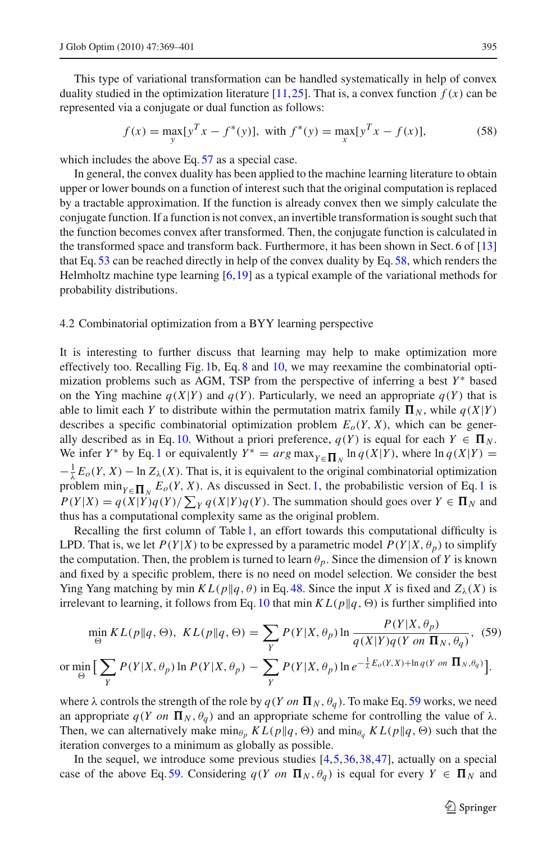This type of variational transformation can be handled systematically in help of convex duality studied in the optimization literature  $[11,25]$  $[11,25]$  $[11,25]$ . That is, a convex function  $f(x)$  can be represented via a conjugate or dual function as follows:

$$
f(x) = \max_{y} [y^T x - f^*(y)], \text{ with } f^*(y) = \max_{x} [y^T x - f(x)],
$$
 (58)

<span id="page-26-0"></span>which includes the above Eq. [57](#page-25-0) as a special case.

In general, the convex duality has been applied to the machine learning literature to obtain upper or lower bounds on a function of interest such that the original computation is replaced by a tractable approximation. If the function is already convex then we simply calculate the conjugate function. If a function is not convex, an invertible transformation is sought such that the function becomes convex after transformed. Then, the conjugate function is calculated in the transformed space and transform back. Furthermore, it has been shown in Sect. 6 of [\[13\]](#page-30-18) that Eq. [53](#page-24-0) can be reached directly in help of the convex duality by Eq. [58,](#page-26-0) which renders the Helmholtz machine type learning [\[6,](#page-30-3)[19](#page-30-15)] as a typical example of the variational methods for probability distributions.

### 4.2 Combinatorial optimization from a BYY learning perspective

It is interesting to further discuss that learning may help to make optimization more effectively too. Recalling Fig. [1b](#page-1-0), Eq. [8](#page-7-3) and [10,](#page-7-4) we may reexamine the combinatorial optimization problems such as AGM, TSP from the perspective of inferring a best  $Y^*$  based on the Ying machine  $q(X|Y)$  and  $q(Y)$ . Particularly, we need an appropriate  $q(Y)$  that is able to limit each *Y* to distribute within the permutation matrix family  $\Pi_N$ , while  $q(X|Y)$ describes a specific combinatorial optimization problem  $E<sub>o</sub>(Y, X)$ , which can be gener-ally described as in Eq. [10.](#page-7-4) Without a priori preference,  $q(Y)$  is equal for each  $Y \in \Pi_N$ . We infer *Y*<sup>\*</sup> by Eq. [1](#page-4-2) or equivalently  $Y^* = arg \max_{Y \in \prod_N} ln q(X|Y)$ , where  $ln q(X|Y) =$  $-\frac{1}{\lambda}E_o(Y, X) - \ln Z_\lambda(X)$ . That is, it is equivalent to the original combinatorial optimization problem  $\min_{Y \in \prod_N} E_o(Y, X)$ . As discussed in Sect. [1,](#page-0-0) the probabilistic version of Eq. [1](#page-4-2) is  $P(Y|X) = q(X|Y)q(Y)/\sum_{Y} q(X|Y)q(Y)$ . The summation should goes over  $Y \in \Pi_{N}$  and thus has a computational complexity same as the original problem.

Recalling the first column of Table [1,](#page-2-0) an effort towards this computational difficulty is LPD. That is, we let  $P(Y|X)$  to be expressed by a parametric model  $P(Y|X, \theta_p)$  to simplify the computation. Then, the problem is turned to learn  $\theta_p$ . Since the dimension of *Y* is known and fixed by a specific problem, there is no need on model selection. We consider the best Ying Yang matching by min  $KL(p||q, \theta)$  in Eq. [48.](#page-21-1) Since the input *X* is fixed and  $Z_{\lambda}(X)$  is irrelevant to learning, it follows from Eq. [10](#page-7-4) that min  $KL(p||q, \Theta)$  is further simplified into

<span id="page-26-1"></span>
$$
\min_{\Theta} KL(p||q, \Theta), KL(p||q, \Theta) = \sum_{Y} P(Y|X, \theta_{P}) \ln \frac{P(Y|X, \theta_{P})}{q(X|Y)q(Y \text{ on } \Pi_{N}, \theta_{q})}, (59)
$$
  
or 
$$
\min_{\Theta} \Big[ \sum_{Y} P(Y|X, \theta_{P}) \ln P(Y|X, \theta_{P}) - \sum_{Y} P(Y|X, \theta_{P}) \ln e^{-\frac{1}{\lambda} E_{\theta}(Y, X) + \ln q(Y \text{ on } \Pi_{N}, \theta_{q})} \Big].
$$

where  $\lambda$  controls the strength of the role by  $q(Y \text{ on } \Pi_N, \theta_q)$ . To make Eq. [59](#page-26-1) works, we need an appropriate  $q(Y \text{ on } \Pi_N, \theta_q)$  and an appropriate scheme for controlling the value of  $\lambda$ . Then, we can alternatively make  $\min_{\theta_p} KL(p||q, \Theta)$  and  $\min_{\theta_q} KL(p||q, \Theta)$  such that the iteration converges to a minimum as globally as possible.

In the sequel, we introduce some previous studies [\[4,](#page-30-22)[5](#page-30-23),[36](#page-31-23)[,38,](#page-31-21)[47](#page-31-24)], actually on a special case of the above Eq. [59.](#page-26-1) Considering  $q(Y \text{ on } \Pi_N, \theta_q)$  is equal for every  $Y \in \Pi_N$  and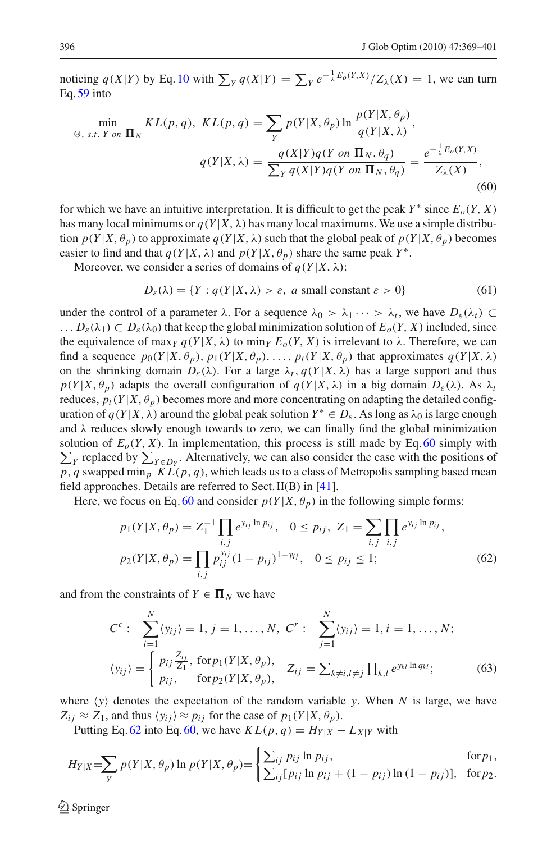<span id="page-27-0"></span>noticing  $q(X|Y)$  by Eq. [10](#page-7-4) with  $\sum_{Y} q(X|Y) = \sum_{Y} e^{-\frac{1}{\lambda}E_o(Y,X)} / Z_{\lambda}(X) = 1$ , we can turn Eq. [59](#page-26-1) into

$$
\min_{\Theta, s.t. Y \text{ on } \Pi_N} KL(p, q), KL(p, q) = \sum_{Y} p(Y|X, \theta_P) \ln \frac{p(Y|X, \theta_P)}{q(Y|X, \lambda)},
$$

$$
q(Y|X, \lambda) = \frac{q(X|Y)q(Y \text{ on } \Pi_N, \theta_q)}{\sum_{Y} q(X|Y)q(Y \text{ on } \Pi_N, \theta_q)} = \frac{e^{-\frac{1}{\lambda}E_o(Y, X)}}{Z_{\lambda}(X)},
$$
(60)

for which we have an intuitive interpretation. It is difficult to get the peak  $Y^*$  since  $E_o(Y, X)$ has many local minimums or  $q(Y|X, \lambda)$  has many local maximums. We use a simple distribution  $p(Y|X, \theta_p)$  to approximate  $q(Y|X, \lambda)$  such that the global peak of  $p(Y|X, \theta_p)$  becomes easier to find and that  $q(Y|X, \lambda)$  and  $p(Y|X, \theta_p)$  share the same peak  $Y^*$ .

Moreover, we consider a series of domains of  $q(Y|X, \lambda)$ :

$$
D_{\varepsilon}(\lambda) = \{ Y : q(Y|X, \lambda) > \varepsilon, \text{ a small constant } \varepsilon > 0 \}
$$
 (61)

under the control of a parameter  $\lambda$ . For a sequence  $\lambda_0 > \lambda_1 \cdots > \lambda_t$ , we have  $D_{\varepsilon}(\lambda_t) \subset$ ...  $D_{\varepsilon}(\lambda_1)$  ⊂  $D_{\varepsilon}(\lambda_0)$  that keep the global minimization solution of  $E_o(Y, X)$  included, since the equivalence of max<sub>*Y*</sub>  $q(Y|X, \lambda)$  to min<sub>*Y*</sub>  $E_o(Y, X)$  is irrelevant to  $\lambda$ . Therefore, we can find a sequence  $p_0(Y|X, \theta_p)$ ,  $p_1(Y|X, \theta_p)$ , ...,  $p_t(Y|X, \theta_p)$  that approximates  $q(Y|X, \lambda)$ on the shrinking domain  $D_{\varepsilon}(\lambda)$ . For a large  $\lambda_t$ ,  $q(Y|X,\lambda)$  has a large support and thus  $p(Y|X, \theta_p)$  adapts the overall configuration of  $q(Y|X, \lambda)$  in a big domain  $D_{\varepsilon}(\lambda)$ . As  $\lambda_t$ reduces,  $p_t(Y|X, \theta_p)$  becomes more and more concentrating on adapting the detailed configuration of  $q(Y|X, \lambda)$  around the global peak solution  $Y^* \in D_{\varepsilon}$ . As long as  $\lambda_0$  is large enough and  $\lambda$  reduces slowly enough towards to zero, we can finally find the global minimization  $\sum_{Y}$  replaced by  $\sum_{Y \in D_Y}$ . Alternatively, we can also consider the case with the positions of solution of  $E_o(Y, X)$ . In implementation, this process is still made by Eq. [60](#page-27-0) simply with  $p, q$  swapped min<sub>p</sub>  $KL(p, q)$ , which leads us to a class of Metropolis sampling based mean field approaches. Details are referred to Sect. II(B) in [\[41](#page-31-25)].

<span id="page-27-1"></span>Here, we focus on Eq. [60](#page-27-0) and consider  $p(Y|X, \theta_p)$  in the following simple forms:

$$
p_1(Y|X, \theta_p) = Z_1^{-1} \prod_{i,j} e^{y_{ij} \ln p_{ij}}, \quad 0 \le p_{ij}, \ Z_1 = \sum_{i,j} \prod_{i,j} e^{y_{ij} \ln p_{ij}},
$$
  
\n
$$
p_2(Y|X, \theta_p) = \prod_{i,j} p_{ij}^{y_{ij}} (1 - p_{ij})^{1 - y_{ij}}, \quad 0 \le p_{ij} \le 1;
$$
\n(62)

<span id="page-27-2"></span>and from the constraints of  $Y \in \Pi_N$  we have

$$
C^{c}: \sum_{i=1}^{N} \langle y_{ij} \rangle = 1, j = 1, ..., N, C^{r}: \sum_{j=1}^{N} \langle y_{ij} \rangle = 1, i = 1, ..., N;
$$
  

$$
\langle y_{ij} \rangle = \begin{cases} p_{ij} \frac{Z_{ij}}{Z_{1}}, & \text{for } p_{1}(Y|X, \theta_{p}), \\ p_{ij}, & \text{for } p_{2}(Y|X, \theta_{p}), \end{cases} Z_{ij} = \sum_{k \neq i, l \neq j} \prod_{k,l} e^{y_{kl} \ln q_{kl}};
$$
(63)

where  $\langle y \rangle$  denotes the expectation of the random variable *y*. When *N* is large, we have  $Z_{ij} \approx Z_1$ , and thus  $\langle y_{ij} \rangle \approx p_{ij}$  for the case of  $p_1(Y|X, \theta_p)$ .

Putting Eq. [62](#page-27-1) into Eq. [60,](#page-27-0) we have  $KL(p, q) = H_{Y|X} - L_{X|Y}$  with

$$
H_{Y|X} = \sum_{Y} p(Y|X, \theta_p) \ln p(Y|X, \theta_p) = \begin{cases} \sum_{ij} p_{ij} \ln p_{ij}, & \text{for } p_1, \\ \sum_{ij} [p_{ij} \ln p_{ij} + (1 - p_{ij}) \ln (1 - p_{ij})], & \text{for } p_2. \end{cases}
$$

<span id="page-27-3"></span> $\mathcal{L}$  Springer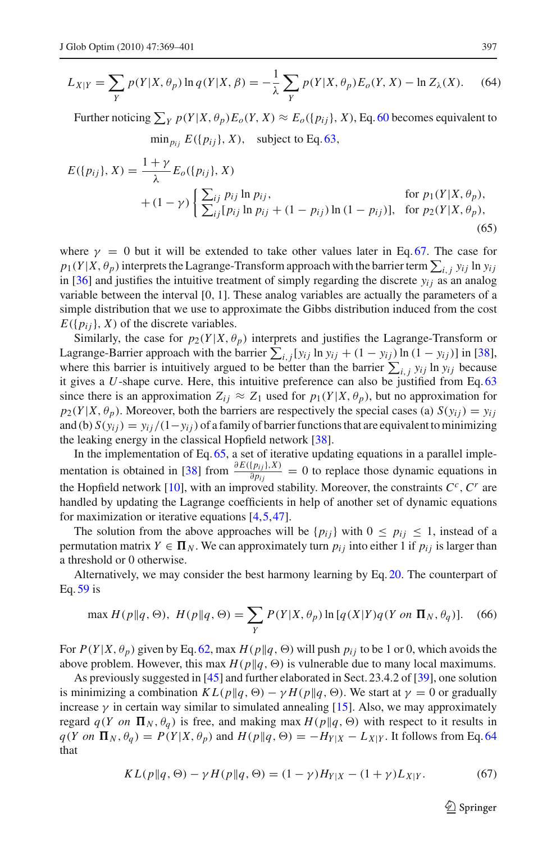$$
L_{X|Y} = \sum_{Y} p(Y|X,\theta_p) \ln q(Y|X,\beta) = -\frac{1}{\lambda} \sum_{Y} p(Y|X,\theta_p) E_o(Y,X) - \ln Z_{\lambda}(X). \tag{64}
$$

Further noticing  $\sum_{Y} p(Y|X, \theta_p) E_o(Y, X) \approx E_o({p_{ij}}, X)$ , Eq. [60](#page-27-0) becomes equivalent to  $\min_{p_{ij}} E(\{p_{ij}\}, X)$ , subject to Eq. [63](#page-27-2),

<span id="page-28-1"></span>
$$
E(\{p_{ij}\}, X) = \frac{1 + \gamma}{\lambda} E_o(\{p_{ij}\}, X)
$$
  
+  $(1 - \gamma) \left\{ \sum_{ij} p_{ij} \ln p_{ij}, \right\}$  for  $p_1(Y|X, \theta_p)$ ,  

$$
+ (1 - \gamma) \left\{ \sum_{ij} p_{ij} \ln p_{ij} + (1 - p_{ij}) \ln (1 - p_{ij}) \right\}, \text{ for } p_2(Y|X, \theta_p),
$$
(65)

where  $\gamma = 0$  but it will be extended to take other values later in Eq. [67.](#page-28-0) The case for  $p_1(Y|X, \theta_p)$  interprets the Lagrange-Transform approach with the barrier term  $\sum_{i,j} y_{ij}$  ln  $y_{ij}$ in  $[36]$  and justifies the intuitive treatment of simply regarding the discrete  $y_{ij}$  as an analog variable between the interval [0, 1]. These analog variables are actually the parameters of a simple distribution that we use to approximate the Gibbs distribution induced from the cost  $E(\{p_{ij}\}, X)$  of the discrete variables.

Similarly, the case for  $p_2(Y|X, \theta_p)$  interprets and justifies the Lagrange-Transform or Lagrange-Barrier approach with the barrier  $\sum_{i,j} [y_{ij} \ln y_{ij} + (1 - y_{ij}) \ln (1 - y_{ij})]$  in [\[38\]](#page-31-21), where this barrier is intuitively argued to be better than the barrier  $\sum_{i,j} y_{ij}$  ln  $y_{ij}$  because it gives a *U*-shape curve. Here, this intuitive preference can also be justified from Eq. [63](#page-27-2) since there is an approximation  $Z_{ij} \approx Z_1$  used for  $p_1(Y|X, \theta_p)$ , but no approximation for  $p_2(Y|X, \theta_p)$ . Moreover, both the barriers are respectively the special cases (a)  $S(y_{ii}) = y_{ii}$ and (b)  $S(y_{ij}) = y_{ij}/(1-y_{ij})$  of a family of barrier functions that are equivalent to minimizing the leaking energy in the classical Hopfield network [\[38\]](#page-31-21).

In the implementation of Eq. [65,](#page-28-1) a set of iterative updating equations in a parallel imple-mentation is obtained in [\[38](#page-31-21)] from  $\frac{\partial E(\{p_{ij}\},X)}{\partial p_{ij}} = 0$  to replace those dynamic equations in the Hopfield network [\[10\]](#page-30-24), with an improved stability. Moreover, the constraints  $C^c$ ,  $C^r$  are handled by updating the Lagrange coefficients in help of another set of dynamic equations for maximization or iterative equations [\[4,](#page-30-22)[5,](#page-30-23)[47](#page-31-24)].

The solution from the above approaches will be  $\{p_{ij}\}\$  with  $0 \leq p_{ij} \leq 1$ , instead of a permutation matrix  $Y \in \Pi_N$ . We can approximately turn  $p_{ij}$  into either 1 if  $p_{ij}$  is larger than a threshold or 0 otherwise.

Alternatively, we may consider the best harmony learning by Eq. [20.](#page-12-2) The counterpart of Eq. [59](#page-26-1) is

$$
\max H(p||q, \Theta), H(p||q, \Theta) = \sum_{Y} P(Y|X, \theta_p) \ln[q(X|Y)q(Y \text{ on } \Pi_N, \theta_q)]. \quad (66)
$$

For  $P(Y|X, \theta_p)$  given by Eq. [62,](#page-27-1) max  $H(p||q, \Theta)$  will push  $p_{ij}$  to be 1 or 0, which avoids the above problem. However, this max  $H(p||q, \Theta)$  is vulnerable due to many local maximums.

<span id="page-28-0"></span>As previously suggested in [\[45](#page-31-17)] and further elaborated in Sect. 23.4.2 of [\[39\]](#page-31-26), one solution is minimizing a combination  $KL(p||q, \Theta) - \gamma H(p||q, \Theta)$ . We start at  $\gamma = 0$  or gradually increase  $\gamma$  in certain way similar to simulated annealing [\[15](#page-30-25)]. Also, we may approximately regard  $q(Y \text{ on } \Pi_N, \theta_q)$  is free, and making max  $H(p||q, \Theta)$  with respect to it results in  $q(Y \text{ on } \Pi_N, \theta_q) = P(Y|X, \theta_p)$  and  $H(p||q, \Theta) = -H_{Y|X} - L_{X|Y}$ . It follows from Eq. [64](#page-27-3) that

 $\mathcal{L}$  Springer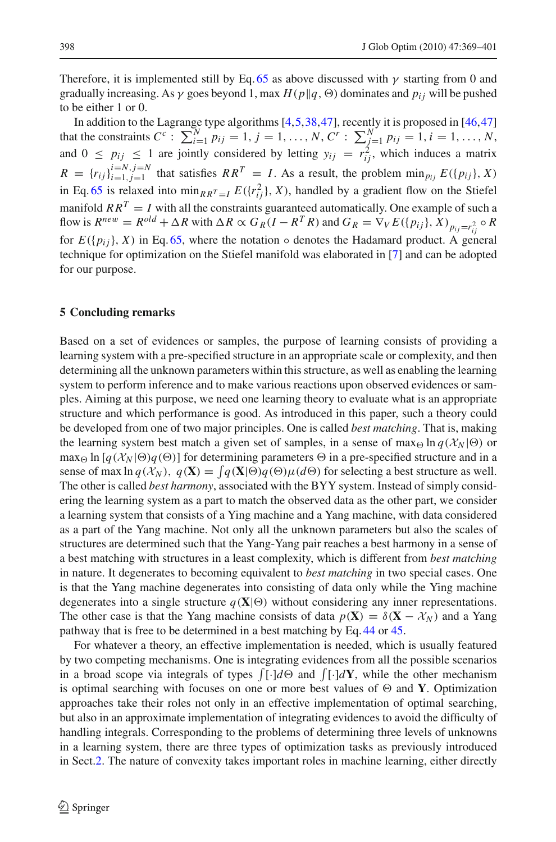Therefore, it is implemented still by Eq. [65](#page-28-1) as above discussed with  $\gamma$  starting from 0 and gradually increasing. As  $\gamma$  goes beyond 1, max  $H(p||q, \Theta)$  dominates and  $p_{ij}$  will be pushed to be either 1 or 0.

In addition to the Lagrange type algorithms [\[4](#page-30-22),[5](#page-30-23)[,38,](#page-31-21)[47](#page-31-24)], recently it is proposed in [\[46](#page-31-27)[,47\]](#page-31-24) that the constraints  $C^c$ :  $\sum_{i=1}^{N} p_{ij} = 1, j = 1, ..., N, C^r$ :  $\sum_{j=1}^{N} p_{ij} = 1, i = 1, ..., N$ , and  $0 \leq p_{ij} \leq 1$  are jointly considered by letting  $y_{ij} = r_{ij}^2$ , which induces a matrix  $R = {r_{ij}}\substack{j = N, j = N \ j = 1, j = 1}^{i=N, j=N}$  that satisfies  $RR^T = I$ . As a result, the problem min<sub>*p<sub>ij</sub>*  $E({p_{ij}}, X)$ </sub> in Eq. [65](#page-28-1) is relaxed into  $\min_{RR} r = I E(\{r_{ij}^2\}, X)$ , handled by a gradient flow on the Stiefel manifold  $RR^T = I$  with all the constraints guaranteed automatically. One example of such a flow is  $R^{new} = R^{old} + \Delta R$  with  $\Delta R \propto G_R (I - R^T R)$  and  $G_R = \nabla_V E(\{p_{ij}\}, X)_{p_{ij} = r_{ij}^2} \circ R$ for  $E({p_{ij}})$ , *X*) in Eq. [65,](#page-28-1) where the notation  $\circ$  denotes the Hadamard product. A general technique for optimization on the Stiefel manifold was elaborated in [\[7](#page-30-26)] and can be adopted for our purpose.

# <span id="page-29-0"></span>**5 Concluding remarks**

Based on a set of evidences or samples, the purpose of learning consists of providing a learning system with a pre-specified structure in an appropriate scale or complexity, and then determining all the unknown parameters within this structure, as well as enabling the learning system to perform inference and to make various reactions upon observed evidences or samples. Aiming at this purpose, we need one learning theory to evaluate what is an appropriate structure and which performance is good. As introduced in this paper, such a theory could be developed from one of two major principles. One is called *best matching*. That is, making the learning system best match a given set of samples, in a sense of max<sub> $\Theta$ </sub> ln  $q(\mathcal{X}_N|\Theta)$  or  $\max_{\Theta} \ln [q(\mathcal{X}_N | \Theta) q(\Theta)]$  for determining parameters  $\Theta$  in a pre-specified structure and in a sense of max  $\ln q(X_N)$ ,  $q(\mathbf{X}) = \int q(\mathbf{X}|\Theta)q(\Theta)\mu(d\Theta)$  for selecting a best structure as well. The other is called *best harmony*, associated with the BYY system. Instead of simply considering the learning system as a part to match the observed data as the other part, we consider a learning system that consists of a Ying machine and a Yang machine, with data considered as a part of the Yang machine. Not only all the unknown parameters but also the scales of structures are determined such that the Yang-Yang pair reaches a best harmony in a sense of a best matching with structures in a least complexity, which is different from *best matching* in nature. It degenerates to becoming equivalent to *best matching* in two special cases. One is that the Yang machine degenerates into consisting of data only while the Ying machine degenerates into a single structure  $q(X|\Theta)$  without considering any inner representations. The other case is that the Yang machine consists of data  $p(X) = \delta(X - X_N)$  and a Yang pathway that is free to be determined in a best matching by Eq. [44](#page-20-1) or [45.](#page-20-2)

For whatever a theory, an effective implementation is needed, which is usually featured by two competing mechanisms. One is integrating evidences from all the possible scenarios in a broad scope via integrals of types  $\int [\cdot] d\Theta$  and  $\int [\cdot] d\mathbf{Y}$ , while the other mechanism is optimal searching with focuses on one or more best values of  $\Theta$  and **Y**. Optimization approaches take their roles not only in an effective implementation of optimal searching, but also in an approximate implementation of integrating evidences to avoid the difficulty of handling integrals. Corresponding to the problems of determining three levels of unknowns in a learning system, there are three types of optimization tasks as previously introduced in Sect[.2.](#page-4-1) The nature of convexity takes important roles in machine learning, either directly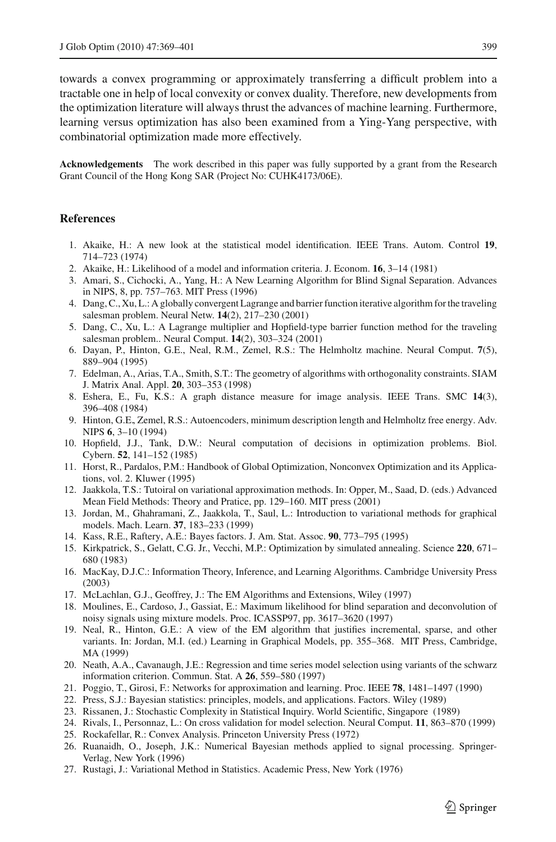towards a convex programming or approximately transferring a difficult problem into a tractable one in help of local convexity or convex duality. Therefore, new developments from the optimization literature will always thrust the advances of machine learning. Furthermore, learning versus optimization has also been examined from a Ying-Yang perspective, with combinatorial optimization made more effectively.

**Acknowledgements** The work described in this paper was fully supported by a grant from the Research Grant Council of the Hong Kong SAR (Project No: CUHK4173/06E).

# <span id="page-30-10"></span>**References**

- 1. Akaike, H.: A new look at the statistical model identification. IEEE Trans. Autom. Control **19**, 714–723 (1974)
- <span id="page-30-11"></span>2. Akaike, H.: Likelihood of a model and information criteria. J. Econom. **16**, 3–14 (1981)
- <span id="page-30-16"></span>3. Amari, S., Cichocki, A., Yang, H.: A New Learning Algorithm for Blind Signal Separation. Advances in NIPS, 8, pp. 757–763. MIT Press (1996)
- <span id="page-30-22"></span>4. Dang, C., Xu, L.: A globally convergent Lagrange and barrier function iterative algorithm for the traveling salesman problem. Neural Netw. **14**(2), 217–230 (2001)
- <span id="page-30-23"></span>5. Dang, C., Xu, L.: A Lagrange multiplier and Hopfield-type barrier function method for the traveling salesman problem.. Neural Comput. **14**(2), 303–324 (2001)
- <span id="page-30-3"></span>6. Dayan, P., Hinton, G.E., Neal, R.M., Zemel, R.S.: The Helmholtz machine. Neural Comput. **7**(5), 889–904 (1995)
- <span id="page-30-26"></span>7. Edelman, A., Arias, T.A., Smith, S.T.: The geometry of algorithms with orthogonality constraints. SIAM J. Matrix Anal. Appl. **20**, 303–353 (1998)
- <span id="page-30-5"></span>8. Eshera, E., Fu, K.S.: A graph distance measure for image analysis. IEEE Trans. SMC **14**(3), 396–408 (1984)
- <span id="page-30-4"></span>9. Hinton, G.E., Zemel, R.S.: Autoencoders, minimum description length and Helmholtz free energy. Adv. NIPS **6**, 3–10 (1994)
- <span id="page-30-24"></span>10. Hopfield, J.J., Tank, D.W.: Neural computation of decisions in optimization problems. Biol. Cybern. **52**, 141–152 (1985)
- <span id="page-30-21"></span>11. Horst, R., Pardalos, P.M.: Handbook of Global Optimization, Nonconvex Optimization and its Applications, vol. 2. Kluwer (1995)
- <span id="page-30-17"></span>12. Jaakkola, T.S.: Tutoiral on variational approximation methods. In: Opper, M., Saad, D. (eds.) Advanced Mean Field Methods: Theory and Pratice, pp. 129–160. MIT press (2001)
- <span id="page-30-18"></span>13. Jordan, M., Ghahramani, Z., Jaakkola, T., Saul, L.: Introduction to variational methods for graphical models. Mach. Learn. **37**, 183–233 (1999)
- <span id="page-30-8"></span>14. Kass, R.E., Raftery, A.E.: Bayes factors. J. Am. Stat. Assoc. **90**, 773–795 (1995)
- <span id="page-30-25"></span>15. Kirkpatrick, S., Gelatt, C.G. Jr., Vecchi, M.P.: Optimization by simulated annealing. Science **220**, 671– 680 (1983)
- <span id="page-30-9"></span>16. MacKay, D.J.C.: Information Theory, Inference, and Learning Algorithms. Cambridge University Press (2003)
- <span id="page-30-14"></span>17. McLachlan, G.J., Geoffrey, J.: The EM Algorithms and Extensions, Wiley (1997)
- <span id="page-30-6"></span>18. Moulines, E., Cardoso, J., Gassiat, E.: Maximum likelihood for blind separation and deconvolution of noisy signals using mixture models. Proc. ICASSP97, pp. 3617–3620 (1997)
- <span id="page-30-15"></span>19. Neal, R., Hinton, G.E.: A view of the EM algorithm that justifies incremental, sparse, and other variants. In: Jordan, M.I. (ed.) Learning in Graphical Models, pp. 355–368. MIT Press, Cambridge, MA (1999)
- <span id="page-30-7"></span>20. Neath, A.A., Cavanaugh, J.E.: Regression and time series model selection using variants of the schwarz information criterion. Commun. Stat. A **26**, 559–580 (1997)
- <span id="page-30-2"></span>21. Poggio, T., Girosi, F.: Networks for approximation and learning. Proc. IEEE **78**, 1481–1497 (1990)
- <span id="page-30-0"></span>22. Press, S.J.: Bayesian statistics: principles, models, and applications. Factors. Wiley (1989)
- <span id="page-30-12"></span>23. Rissanen, J.: Stochastic Complexity in Statistical Inquiry. World Scientific, Singapore (1989)
- <span id="page-30-13"></span>24. Rivals, I., Personnaz, L.: On cross validation for model selection. Neural Comput. **11**, 863–870 (1999)
- <span id="page-30-20"></span>25. Rockafellar, R.: Convex Analysis. Princeton University Press (1972)
- <span id="page-30-1"></span>26. Ruanaidh, O., Joseph, J.K.: Numerical Bayesian methods applied to signal processing. Springer-Verlag, New York (1996)
- <span id="page-30-19"></span>27. Rustagi, J.: Variational Method in Statistics. Academic Press, New York (1976)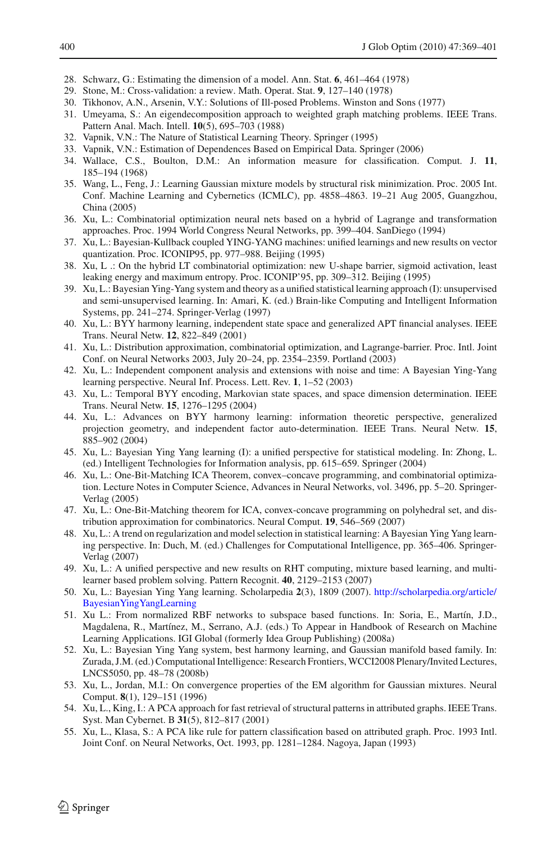- <span id="page-31-11"></span>28. Schwarz, G.: Estimating the dimension of a model. Ann. Stat. **6**, 461–464 (1978)
- <span id="page-31-12"></span><span id="page-31-1"></span>29. Stone, M.: Cross-validation: a review. Math. Operat. Stat. **9**, 127–140 (1978)
- 30. Tikhonov, A.N., Arsenin, V.Y.: Solutions of Ill-posed Problems. Winston and Sons (1977)
- <span id="page-31-7"></span>31. Umeyama, S.: An eigendecomposition approach to weighted graph matching problems. IEEE Trans. Pattern Anal. Mach. Intell. **10**(5), 695–703 (1988)
- <span id="page-31-13"></span>32. Vapnik, V.N.: The Nature of Statistical Learning Theory. Springer (1995)
- <span id="page-31-22"></span>33. Vapnik, V.N.: Estimation of Dependences Based on Empirical Data. Springer (2006)
- <span id="page-31-0"></span>34. Wallace, C.S., Boulton, D.M.: An information measure for classification. Comput. J. **11**, 185–194 (1968)
- <span id="page-31-14"></span>35. Wang, L., Feng, J.: Learning Gaussian mixture models by structural risk minimization. Proc. 2005 Int. Conf. Machine Learning and Cybernetics (ICMLC), pp. 4858–4863. 19–21 Aug 2005, Guangzhou, China (2005)
- <span id="page-31-23"></span>36. Xu, L.: Combinatorial optimization neural nets based on a hybrid of Lagrange and transformation approaches. Proc. 1994 World Congress Neural Networks, pp. 399–404. SanDiego (1994)
- <span id="page-31-2"></span>37. Xu, L.: Bayesian-Kullback coupled YING-YANG machines: unified learnings and new results on vector quantization. Proc. ICONIP95, pp. 977–988. Beijing (1995)
- <span id="page-31-21"></span>38. Xu, L .: On the hybrid LT combinatorial optimization: new U-shape barrier, sigmoid activation, least leaking energy and maximum entropy. Proc. ICONIP'95, pp. 309–312. Beijing (1995)
- <span id="page-31-26"></span>39. Xu, L.: Bayesian Ying-Yang system and theory as a unified statistical learning approach (I): unsupervised and semi-unsupervised learning. In: Amari, K. (ed.) Brain-like Computing and Intelligent Information Systems, pp. 241–274. Springer-Verlag (1997)
- <span id="page-31-4"></span>40. Xu, L.: BYY harmony learning, independent state space and generalized APT financial analyses. IEEE Trans. Neural Netw. **12**, 822–849 (2001)
- <span id="page-31-25"></span>41. Xu, L.: Distribution approximation, combinatorial optimization, and Lagrange-barrier. Proc. Intl. Joint Conf. on Neural Networks 2003, July 20–24, pp. 2354–2359. Portland (2003)
- <span id="page-31-5"></span>42. Xu, L.: Independent component analysis and extensions with noise and time: A Bayesian Ying-Yang learning perspective. Neural Inf. Process. Lett. Rev. **1**, 1–52 (2003)
- <span id="page-31-6"></span>43. Xu, L.: Temporal BYY encoding, Markovian state spaces, and space dimension determination. IEEE Trans. Neural Netw. **15**, 1276–1295 (2004)
- <span id="page-31-15"></span>44. Xu, L.: Advances on BYY harmony learning: information theoretic perspective, generalized projection geometry, and independent factor auto-determination. IEEE Trans. Neural Netw. **15**, 885–902 (2004)
- <span id="page-31-17"></span>45. Xu, L.: Bayesian Ying Yang learning (I): a unified perspective for statistical modeling. In: Zhong, L. (ed.) Intelligent Technologies for Information analysis, pp. 615–659. Springer (2004)
- <span id="page-31-27"></span>46. Xu, L.: One-Bit-Matching ICA Theorem, convex–concave programming, and combinatorial optimization. Lecture Notes in Computer Science, Advances in Neural Networks, vol. 3496, pp. 5–20. Springer-Verlag (2005)
- <span id="page-31-24"></span>47. Xu, L.: One-Bit-Matching theorem for ICA, convex-concave programming on polyhedral set, and distribution approximation for combinatorics. Neural Comput. **19**, 546–569 (2007)
- <span id="page-31-18"></span>48. Xu, L.: A trend on regularization and model selection in statistical learning: A Bayesian Ying Yang learning perspective. In: Duch, M. (ed.) Challenges for Computational Intelligence, pp. 365–406. Springer-Verlag (2007)
- <span id="page-31-19"></span>49. Xu, L.: A unified perspective and new results on RHT computing, mixture based learning, and multilearner based problem solving. Pattern Recognit. **40**, 2129–2153 (2007)
- <span id="page-31-3"></span>50. Xu, L.: Bayesian Ying Yang learning. Scholarpedia **2**(3), 1809 (2007). [http://scholarpedia.org/article/](http://scholarpedia.org/article/BayesianYingYangLearning) [BayesianYingYangLearning](http://scholarpedia.org/article/BayesianYingYangLearning)
- <span id="page-31-20"></span>51. Xu L.: From normalized RBF networks to subspace based functions. In: Soria, E., Martín, J.D., Magdalena, R., Martínez, M., Serrano, A.J. (eds.) To Appear in Handbook of Research on Machine Learning Applications. IGI Global (formerly Idea Group Publishing) (2008a)
- <span id="page-31-16"></span>52. Xu, L.: Bayesian Ying Yang system, best harmony learning, and Gaussian manifold based family. In: Zurada, J.M. (ed.) Computational Intelligence: Research Frontiers, WCCI2008 Plenary/Invited Lectures, LNCS5050, pp. 48–78 (2008b)
- <span id="page-31-10"></span>53. Xu, L., Jordan, M.I.: On convergence properties of the EM algorithm for Gaussian mixtures. Neural Comput. **8**(1), 129–151 (1996)
- <span id="page-31-8"></span>54. Xu, L., King, I.: A PCA approach for fast retrieval of structural patterns in attributed graphs. IEEE Trans. Syst. Man Cybernet. B **31**(5), 812–817 (2001)
- <span id="page-31-9"></span>55. Xu, L., Klasa, S.: A PCA like rule for pattern classification based on attributed graph. Proc. 1993 Intl. Joint Conf. on Neural Networks, Oct. 1993, pp. 1281–1284. Nagoya, Japan (1993)